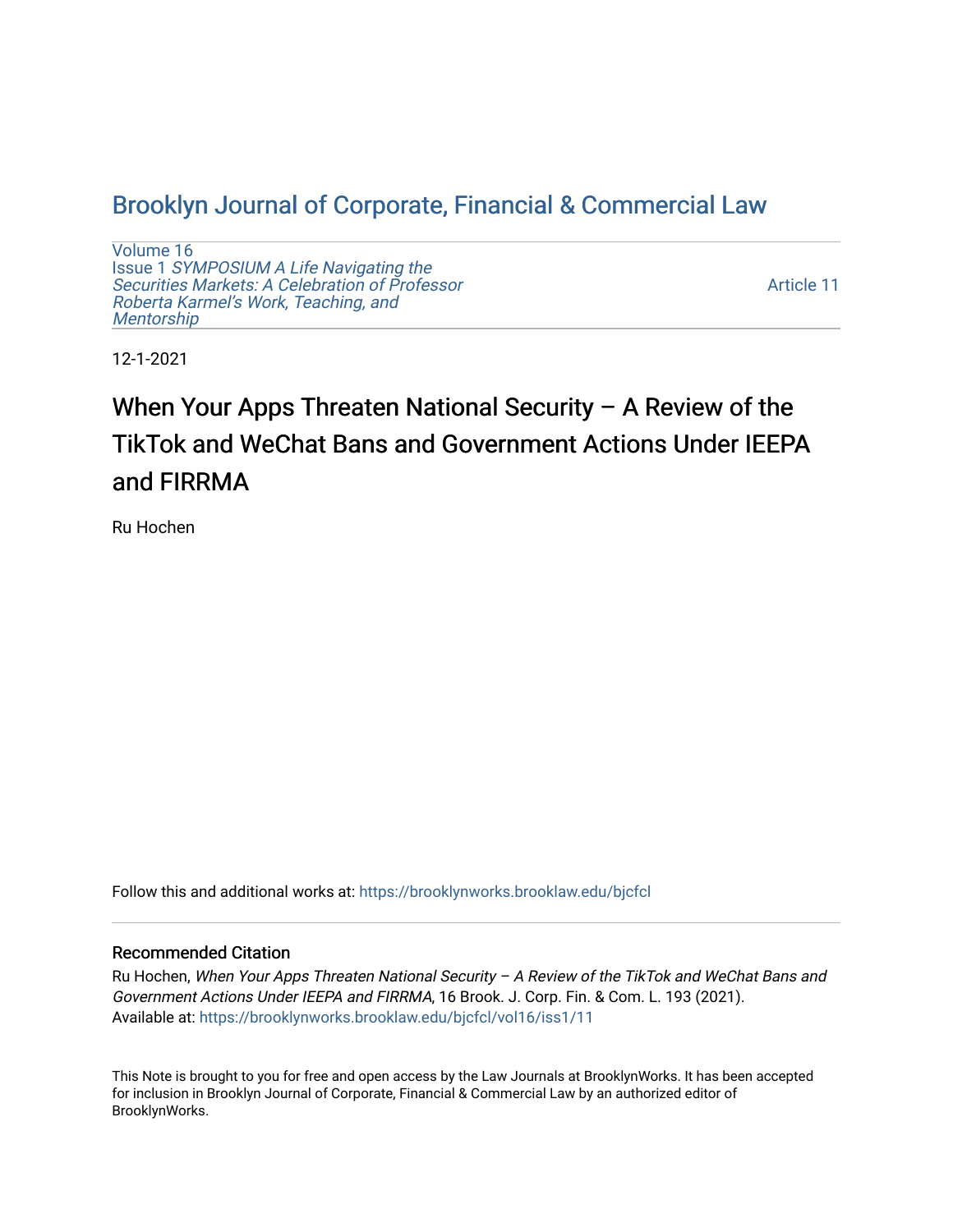# [Brooklyn Journal of Corporate, Financial & Commercial Law](https://brooklynworks.brooklaw.edu/bjcfcl)

[Volume 16](https://brooklynworks.brooklaw.edu/bjcfcl/vol16) Issue 1 [SYMPOSIUM A Life Navigating the](https://brooklynworks.brooklaw.edu/bjcfcl/vol16/iss1) [Securities Markets: A Celebration of Professor](https://brooklynworks.brooklaw.edu/bjcfcl/vol16/iss1) [Roberta Karmel's Work, Teaching, and](https://brooklynworks.brooklaw.edu/bjcfcl/vol16/iss1)  **Mentorship** 

[Article 11](https://brooklynworks.brooklaw.edu/bjcfcl/vol16/iss1/11) 

12-1-2021

# When Your Apps Threaten National Security – A Review of the TikTok and WeChat Bans and Government Actions Under IEEPA and FIRRMA

Ru Hochen

Follow this and additional works at: [https://brooklynworks.brooklaw.edu/bjcfcl](https://brooklynworks.brooklaw.edu/bjcfcl?utm_source=brooklynworks.brooklaw.edu%2Fbjcfcl%2Fvol16%2Fiss1%2F11&utm_medium=PDF&utm_campaign=PDFCoverPages)

### Recommended Citation

Ru Hochen, When Your Apps Threaten National Security – A Review of the TikTok and WeChat Bans and Government Actions Under IEEPA and FIRRMA, 16 Brook. J. Corp. Fin. & Com. L. 193 (2021). Available at: [https://brooklynworks.brooklaw.edu/bjcfcl/vol16/iss1/11](https://brooklynworks.brooklaw.edu/bjcfcl/vol16/iss1/11?utm_source=brooklynworks.brooklaw.edu%2Fbjcfcl%2Fvol16%2Fiss1%2F11&utm_medium=PDF&utm_campaign=PDFCoverPages) 

This Note is brought to you for free and open access by the Law Journals at BrooklynWorks. It has been accepted for inclusion in Brooklyn Journal of Corporate, Financial & Commercial Law by an authorized editor of BrooklynWorks.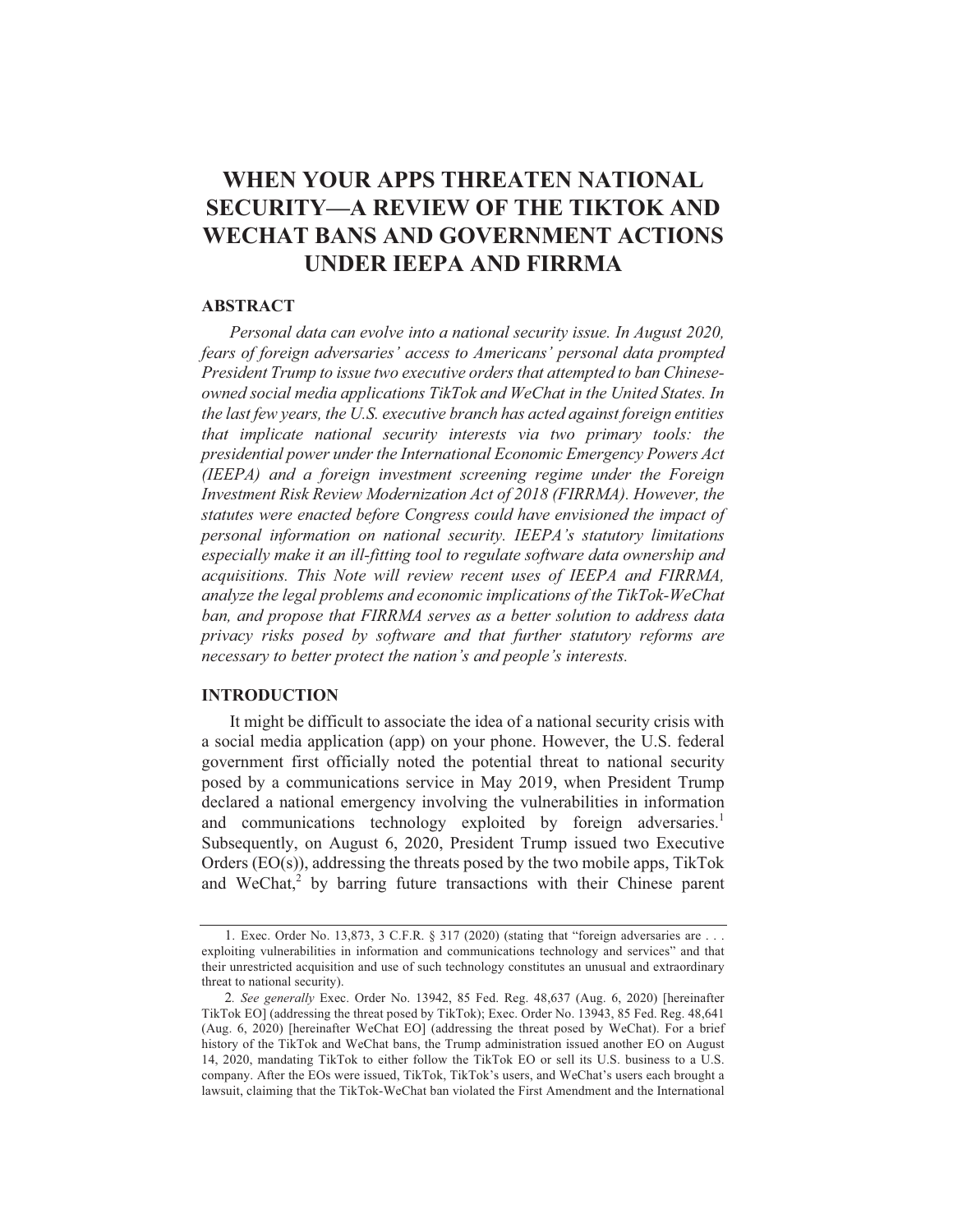## **WHEN YOUR APPS THREATEN NATIONAL SECURITY—A REVIEW OF THE TIKTOK AND WECHAT BANS AND GOVERNMENT ACTIONS** UNDER JEEPA AND FIRRMA

### **ABSTRACT**

Personal data can evolve into a national security issue. In August 2020, fears of foreign adversaries' access to Americans' personal data prompted President Trump to issue two executive orders that attempted to ban Chineseowned social media applications TikTok and WeChat in the United States. In the last few years, the U.S. executive branch has acted against foreign entities that implicate national security interests via two primary tools: the presidential power under the International Economic Emergency Powers Act (IEEPA) and a foreign investment screening regime under the Foreign Investment Risk Review Modernization Act of 2018 (FIRRMA). However, the statutes were enacted before Congress could have envisioned the impact of personal information on national security. IEEPA's statutory limitations especially make it an ill-fitting tool to regulate software data ownership and acquisitions. This Note will review recent uses of IEEPA and FIRRMA, analyze the legal problems and economic implications of the TikTok-WeChat ban, and propose that FIRRMA serves as a better solution to address data privacy risks posed by software and that further statutory reforms are necessary to better protect the nation's and people's interests.

### **INTRODUCTION**

It might be difficult to associate the idea of a national security crisis with a social media application (app) on your phone. However, the U.S. federal government first officially noted the potential threat to national security posed by a communications service in May 2019, when President Trump declared a national emergency involving the vulnerabilities in information and communications technology exploited by foreign adversaries.<sup>1</sup> Subsequently, on August 6, 2020, President Trump issued two Executive Orders (EO(s)), addressing the threats posed by the two mobile apps, TikTok and WeChat,<sup>2</sup> by barring future transactions with their Chinese parent

<sup>1.</sup> Exec. Order No. 13.873, 3 C.F.R.  $\S 317$  (2020) (stating that "foreign adversaries are ... exploiting vulnerabilities in information and communications technology and services" and that their unrestricted acquisition and use of such technology constitutes an unusual and extraordinary threat to national security).

<sup>2.</sup> See generally Exec. Order No. 13942, 85 Fed. Reg. 48,637 (Aug. 6, 2020) [hereinafter TikTok EO] (addressing the threat posed by TikTok); Exec. Order No. 13943, 85 Fed. Reg. 48,641 (Aug. 6, 2020) [hereinafter WeChat EO] (addressing the threat posed by WeChat). For a brief history of the TikTok and WeChat bans, the Trump administration issued another EO on August 14, 2020, mandating TikTok to either follow the TikTok EO or sell its U.S. business to a U.S. company. After the EOs were issued, TikTok, TikTok's users, and WeChat's users each brought a lawsuit, claiming that the TikTok-WeChat ban violated the First Amendment and the International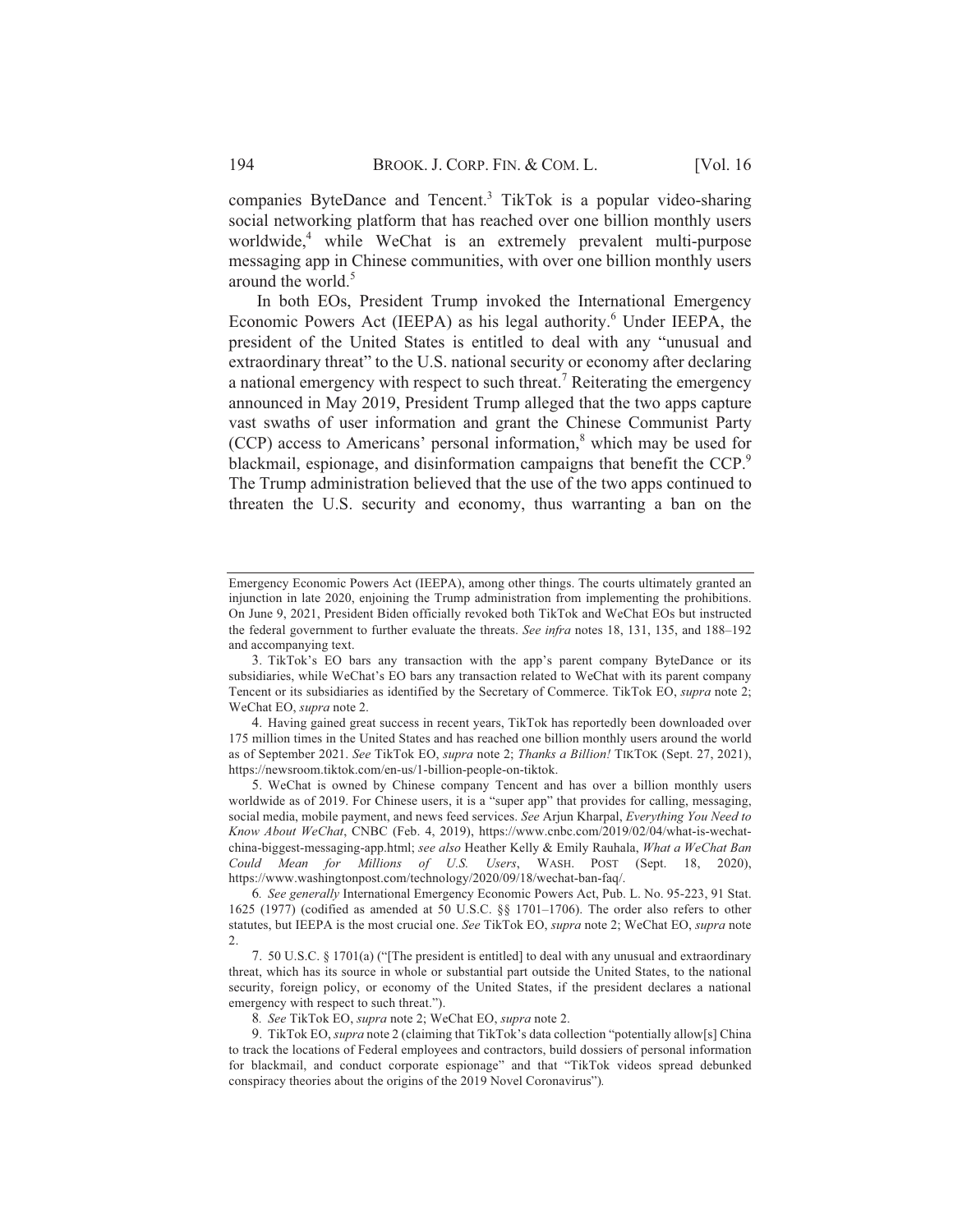companies ByteDance and Tencent.<sup>3</sup> TikTok is a popular video-sharing social networking platform that has reached over one billion monthly users worldwide,<sup>4</sup> while WeChat is an extremely prevalent multi-purpose messaging app in Chinese communities, with over one billion monthly users around the world.<sup>5</sup>

In both EOs, President Trump invoked the International Emergency Economic Powers Act (IEEPA) as his legal authority.<sup>6</sup> Under IEEPA, the president of the United States is entitled to deal with any "unusual and extraordinary threat" to the U.S. national security or economy after declaring a national emergency with respect to such threat.<sup>7</sup> Reiterating the emergency announced in May 2019, President Trump alleged that the two apps capture vast swaths of user information and grant the Chinese Communist Party (CCP) access to Americans' personal information,<sup>8</sup> which may be used for blackmail, espionage, and disinformation campaigns that benefit the CCP.<sup>9</sup> The Trump administration believed that the use of the two apps continued to threaten the U.S. security and economy, thus warranting a ban on the

Emergency Economic Powers Act (IEEPA), among other things. The courts ultimately granted an injunction in late 2020, enjoining the Trump administration from implementing the prohibitions. On June 9, 2021, President Biden officially revoked both TikTok and WeChat EOs but instructed the federal government to further evaluate the threats. See infra notes 18, 131, 135, and 188-192 and accompanying text.

<sup>3.</sup> TikTok's EO bars any transaction with the app's parent company ByteDance or its subsidiaries, while WeChat's EO bars any transaction related to WeChat with its parent company Tencent or its subsidiaries as identified by the Secretary of Commerce. TikTok EO, supra note 2; WeChat EO, supra note 2.

<sup>4.</sup> Having gained great success in recent years, TikTok has reportedly been downloaded over 175 million times in the United States and has reached one billion monthly users around the world as of September 2021. See TikTok EO, supra note 2; Thanks a Billion! TIKTOK (Sept. 27, 2021), https://newsroom.tiktok.com/en-us/1-billion-people-on-tiktok.

<sup>5.</sup> WeChat is owned by Chinese company Tencent and has over a billion monthly users worldwide as of 2019. For Chinese users, it is a "super app" that provides for calling, messaging, social media, mobile payment, and news feed services. See Arjun Kharpal, Everything You Need to Know About WeChat, CNBC (Feb. 4, 2019), https://www.cnbc.com/2019/02/04/what-is-wechatchina-biggest-messaging-app.html; see also Heather Kelly & Emily Rauhala, What a WeChat Ban Could Mean for Millions of U.S. Users, WASH. POST (Sept. 18, 2020), https://www.washingtonpost.com/technology/2020/09/18/wechat-ban-faq/.

<sup>6.</sup> See generally International Emergency Economic Powers Act, Pub. L. No. 95-223, 91 Stat. 1625 (1977) (codified as amended at 50 U.S.C.  $\S$  1701-1706). The order also refers to other statutes, but IEEPA is the most crucial one. See TikTok EO, supra note 2; WeChat EO, supra note

<sup>7. 50</sup> U.S.C. § 1701(a) ("The president is entitled] to deal with any unusual and extraordinary threat, which has its source in whole or substantial part outside the United States, to the national security, foreign policy, or economy of the United States, if the president declares a national emergency with respect to such threat.").

<sup>8.</sup> See TikTok EO, supra note 2; WeChat EO, supra note 2.

<sup>9.</sup> TikTok EO, supra note 2 (claiming that TikTok's data collection "potentially allow[s] China to track the locations of Federal employees and contractors, build dossiers of personal information for blackmail, and conduct corporate espionage" and that "TikTok videos spread debunked conspiracy theories about the origins of the 2019 Novel Coronavirus").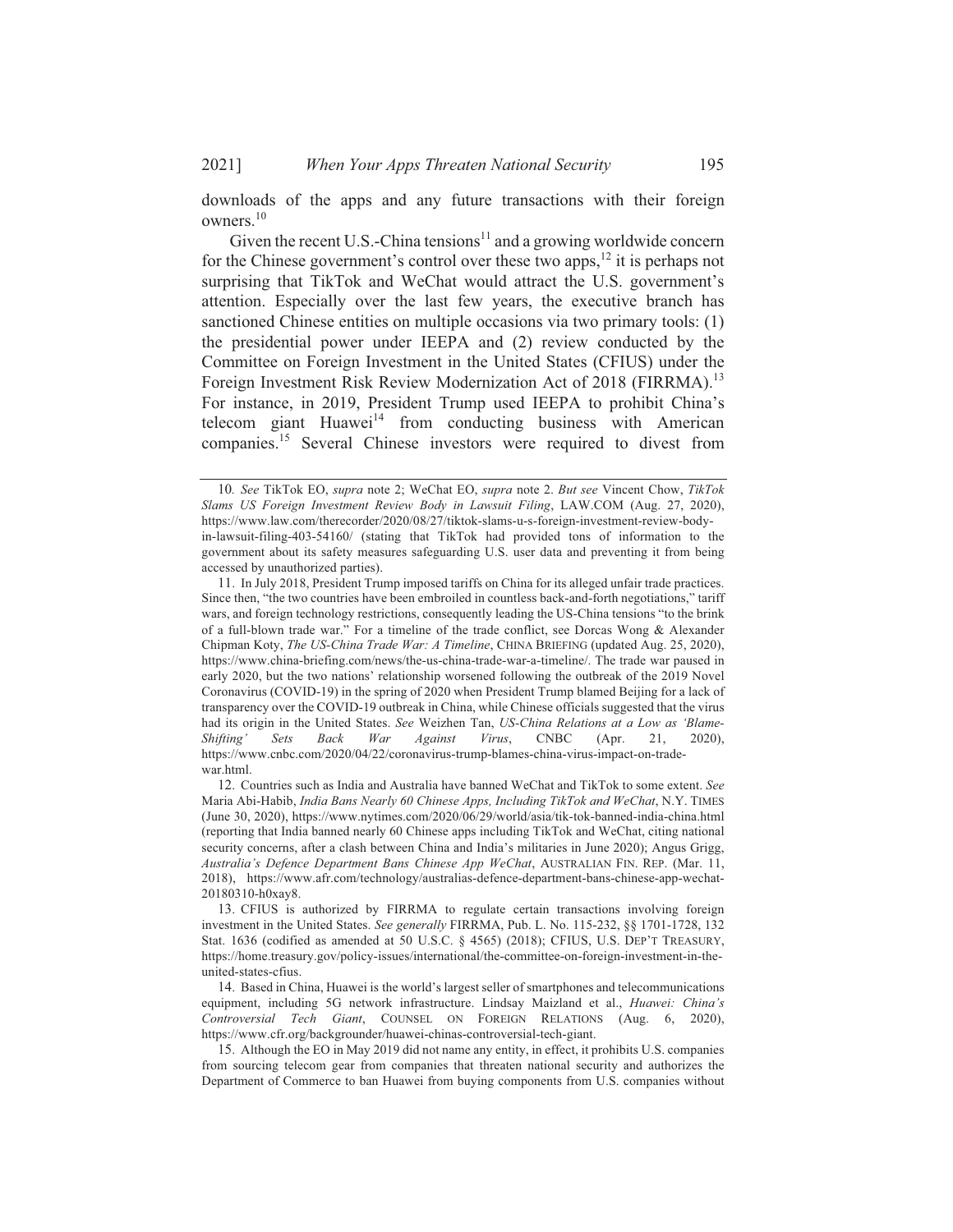downloads of the apps and any future transactions with their foreign owners.<sup>10</sup>

Given the recent U.S.-China tensions<sup>11</sup> and a growing worldwide concern for the Chinese government's control over these two apps,  $^{12}$  it is perhaps not surprising that TikTok and WeChat would attract the U.S. government's attention. Especially over the last few years, the executive branch has sanctioned Chinese entities on multiple occasions via two primary tools: (1) the presidential power under IEEPA and (2) review conducted by the Committee on Foreign Investment in the United States (CFIUS) under the Foreign Investment Risk Review Modernization Act of 2018 (FIRRMA).<sup>13</sup> For instance, in 2019, President Trump used IEEPA to prohibit China's telecom giant Huawei<sup>14</sup> from conducting business with American companies.<sup>15</sup> Several Chinese investors were required to divest from

<sup>10.</sup> See TikTok EO, supra note 2; WeChat EO, supra note 2. But see Vincent Chow, TikTok Slams US Foreign Investment Review Body in Lawsuit Filing, LAW.COM (Aug. 27, 2020), https://www.law.com/therecorder/2020/08/27/tiktok-slams-u-s-foreign-investment-review-bodyin-lawsuit-filing-403-54160/ (stating that TikTok had provided tons of information to the government about its safety measures safeguarding U.S. user data and preventing it from being accessed by unauthorized parties).

<sup>11.</sup> In July 2018, President Trump imposed tariffs on China for its alleged unfair trade practices. Since then, "the two countries have been embroiled in countless back-and-forth negotiations," tariff wars, and foreign technology restrictions, consequently leading the US-China tensions "to the brink of a full-blown trade war." For a timeline of the trade conflict, see Dorcas Wong & Alexander Chipman Koty, The US-China Trade War: A Timeline, CHINA BRIEFING (updated Aug. 25, 2020), https://www.china-briefing.com/news/the-us-china-trade-war-a-timeline/. The trade war paused in early 2020, but the two nations' relationship worsened following the outbreak of the 2019 Novel Coronavirus (COVID-19) in the spring of 2020 when President Trump blamed Beijing for a lack of transparency over the COVID-19 outbreak in China, while Chinese officials suggested that the virus had its origin in the United States. See Weizhen Tan, US-China Relations at a Low as 'Blame-Shifting' Sets Back War Against Virus, **CNBC** (Apr. 21,  $2020$ ). https://www.cnbc.com/2020/04/22/coronavirus-trump-blames-china-virus-impact-on-tradewar.html.

<sup>12.</sup> Countries such as India and Australia have banned WeChat and TikTok to some extent. See Maria Abi-Habib, India Bans Nearly 60 Chinese Apps, Including TikTok and WeChat, N.Y. TIMES (June 30, 2020), https://www.nytimes.com/2020/06/29/world/asia/tik-tok-banned-india-china.html (reporting that India banned nearly 60 Chinese apps including TikTok and WeChat, citing national security concerns, after a clash between China and India's militaries in June 2020); Angus Grigg, Australia's Defence Department Bans Chinese App WeChat, AUSTRALIAN FIN. REP. (Mar. 11, 2018), https://www.afr.com/technology/australias-defence-department-bans-chinese-app-wechat-20180310-h0xay8.

<sup>13.</sup> CFIUS is authorized by FIRRMA to regulate certain transactions involving foreign investment in the United States. See generally FIRRMA, Pub. L. No. 115-232, §§ 1701-1728, 132 Stat. 1636 (codified as amended at 50 U.S.C. § 4565) (2018); CFIUS, U.S. DEP'T TREASURY, https://home.treasury.gov/policy-issues/international/the-committee-on-foreign-investment-in-theunited-states-cfius.

<sup>14.</sup> Based in China, Huawei is the world's largest seller of smartphones and telecommunications equipment, including 5G network infrastructure. Lindsay Maizland et al., Huawei: China's Controversial Tech Giant, COUNSEL ON FOREIGN RELATIONS (Aug. 6, 2020), https://www.cfr.org/backgrounder/huawei-chinas-controversial-tech-giant.

<sup>15.</sup> Although the EO in May 2019 did not name any entity, in effect, it prohibits U.S. companies from sourcing telecom gear from companies that threaten national security and authorizes the Department of Commerce to ban Huawei from buying components from U.S. companies without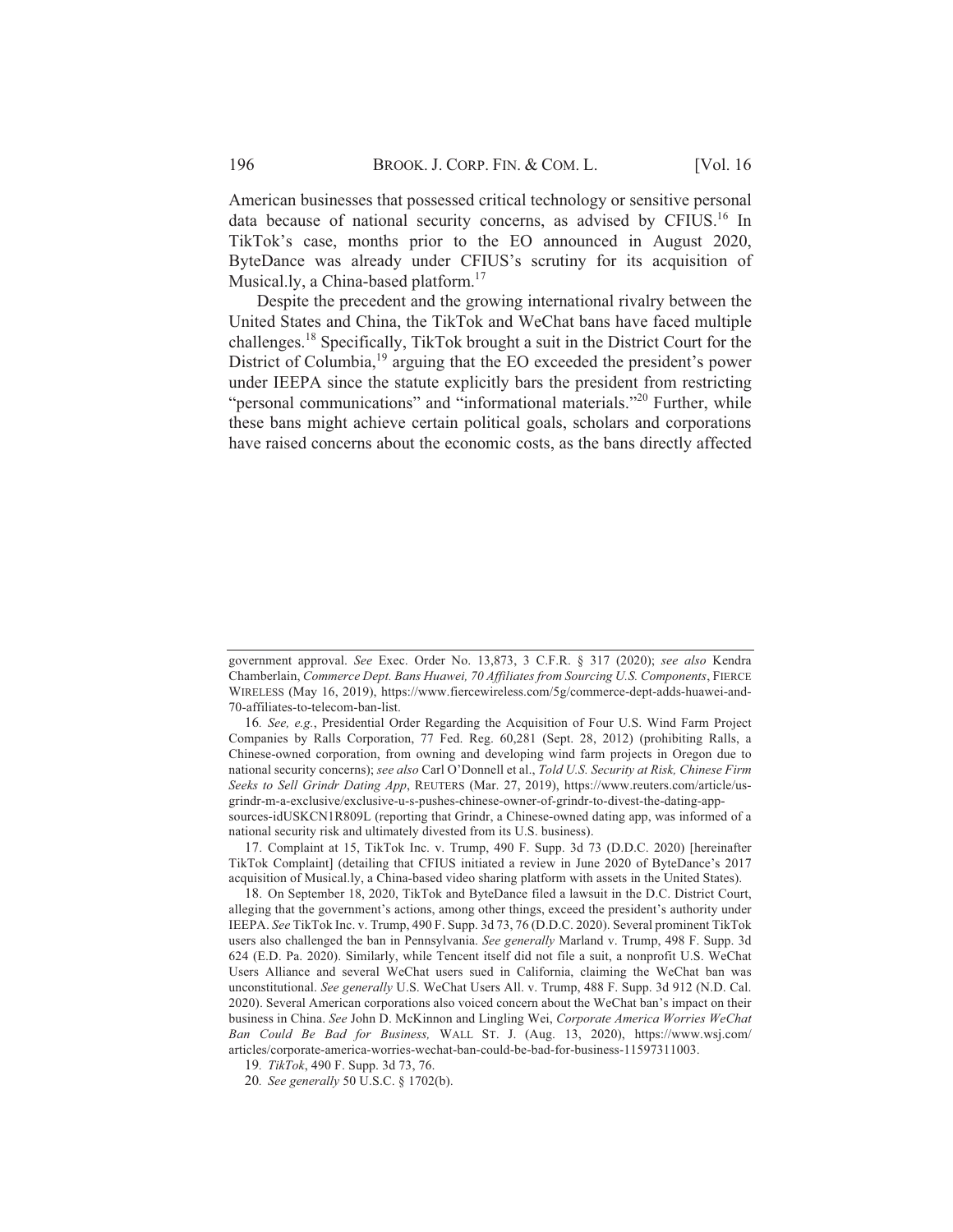American businesses that possessed critical technology or sensitive personal data because of national security concerns, as advised by CFIUS.<sup>16</sup> In TikTok's case, months prior to the EO announced in August 2020, ByteDance was already under CFIUS's scrutiny for its acquisition of Musical.ly, a China-based platform.<sup>17</sup>

Despite the precedent and the growing international rivalry between the United States and China, the TikTok and WeChat bans have faced multiple challenges.<sup>18</sup> Specifically, TikTok brought a suit in the District Court for the District of Columbia,<sup>19</sup> arguing that the EO exceeded the president's power under IEEPA since the statute explicitly bars the president from restricting "personal communications" and "informational materials."<sup>20</sup> Further, while these bans might achieve certain political goals, scholars and corporations have raised concerns about the economic costs, as the bans directly affected

government approval. See Exec. Order No. 13,873, 3 C.F.R. § 317 (2020); see also Kendra Chamberlain, Commerce Dept. Bans Huawei, 70 Affiliates from Sourcing U.S. Components, FIERCE WIRELESS (May 16, 2019), https://www.fiercewireless.com/5g/commerce-dept-adds-huawei-and-70-affiliates-to-telecom-ban-list.

<sup>16.</sup> See, e.g., Presidential Order Regarding the Acquisition of Four U.S. Wind Farm Project Companies by Ralls Corporation, 77 Fed. Reg. 60,281 (Sept. 28, 2012) (prohibiting Ralls, a Chinese-owned corporation, from owning and developing wind farm projects in Oregon due to national security concerns); see also Carl O'Donnell et al., Told U.S. Security at Risk, Chinese Firm Seeks to Sell Grindr Dating App, REUTERS (Mar. 27, 2019), https://www.reuters.com/article/usgrindr-m-a-exclusive/exclusive-u-s-pushes-chinese-owner-of-grindr-to-divest-the-dating-appsources-idUSKCN1R809L (reporting that Grindr, a Chinese-owned dating app, was informed of a

national security risk and ultimately divested from its U.S. business). 17. Complaint at 15, TikTok Inc. v. Trump, 490 F. Supp. 3d 73 (D.D.C. 2020) [hereinafter TikTok Complaint] (detailing that CFIUS initiated a review in June 2020 of ByteDance's 2017 acquisition of Musical.ly, a China-based video sharing platform with assets in the United States).

<sup>18.</sup> On September 18, 2020, TikTok and ByteDance filed a lawsuit in the D.C. District Court, alleging that the government's actions, among other things, exceed the president's authority under IEEPA. See TikTok Inc. v. Trump, 490 F. Supp. 3d 73, 76 (D.D.C. 2020). Several prominent TikTok users also challenged the ban in Pennsylvania. See generally Marland v. Trump, 498 F. Supp. 3d 624 (E.D. Pa. 2020). Similarly, while Tencent itself did not file a suit, a nonprofit U.S. WeChat Users Alliance and several WeChat users sued in California, claiming the WeChat ban was unconstitutional. See generally U.S. WeChat Users All. v. Trump, 488 F. Supp. 3d 912 (N.D. Cal. 2020). Several American corporations also voiced concern about the WeChat ban's impact on their business in China. See John D. McKinnon and Lingling Wei, Corporate America Worries WeChat Ban Could Be Bad for Business, WALL ST. J. (Aug. 13, 2020), https://www.wsj.com/ articles/corporate-america-worries-wechat-ban-could-be-bad-for-business-11597311003.

<sup>19.</sup> TikTok, 490 F. Supp. 3d 73, 76.

<sup>20.</sup> See generally 50 U.S.C. § 1702(b).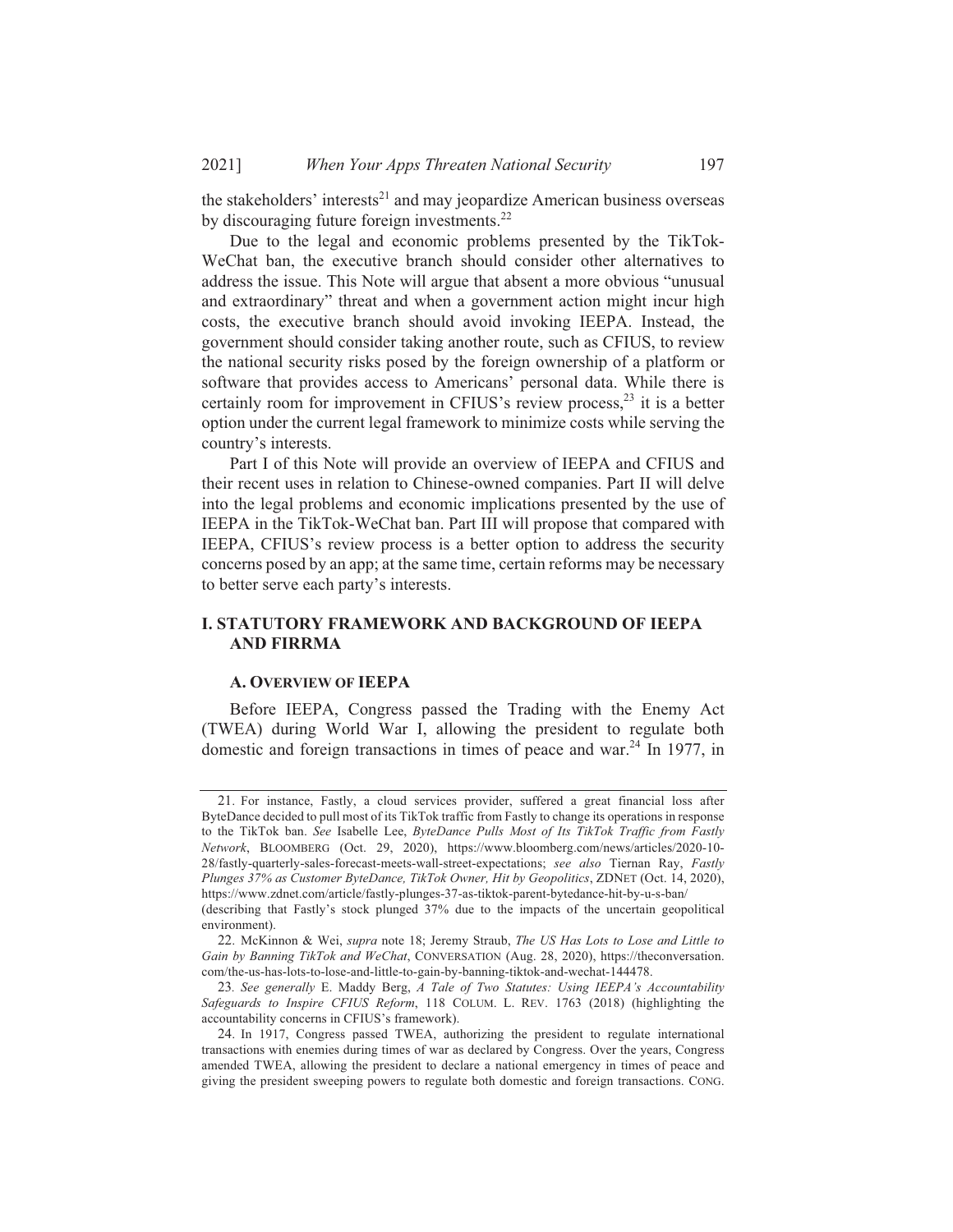the stakeholders' interests<sup>21</sup> and may jeopardize American business overseas by discouraging future foreign investments.<sup>22</sup>

Due to the legal and economic problems presented by the TikTok-WeChat ban, the executive branch should consider other alternatives to address the issue. This Note will argue that absent a more obvious "unusual and extraordinary" threat and when a government action might incur high costs, the executive branch should avoid invoking IEEPA. Instead, the government should consider taking another route, such as CFIUS, to review the national security risks posed by the foreign ownership of a platform or software that provides access to Americans' personal data. While there is certainly room for improvement in CFIUS's review process,<sup>23</sup> it is a better option under the current legal framework to minimize costs while serving the country's interests.

Part I of this Note will provide an overview of IEEPA and CFIUS and their recent uses in relation to Chinese-owned companies. Part II will delve into the legal problems and economic implications presented by the use of IEEPA in the TikTok-WeChat ban. Part III will propose that compared with IEEPA, CFIUS's review process is a better option to address the security concerns posed by an app; at the same time, certain reforms may be necessary to better serve each party's interests.

### **I. STATUTORY FRAMEWORK AND BACKGROUND OF JEEPA AND FIRRMA**

### **A. OVERVIEW OF IEEPA**

Before IEEPA, Congress passed the Trading with the Enemy Act (TWEA) during World War I, allowing the president to regulate both domestic and foreign transactions in times of peace and war.<sup>24</sup> In 1977, in

<sup>21.</sup> For instance, Fastly, a cloud services provider, suffered a great financial loss after ByteDance decided to pull most of its TikTok traffic from Fastly to change its operations in response to the TikTok ban. See Isabelle Lee, ByteDance Pulls Most of Its TikTok Traffic from Fastly Network, BLOOMBERG (Oct. 29, 2020), https://www.bloomberg.com/news/articles/2020-10-28/fastly-quarterly-sales-forecast-meets-wall-street-expectations; see also Tiernan Ray, Fastly Plunges 37% as Customer ByteDance, TikTok Owner, Hit by Geopolitics, ZDNET (Oct. 14, 2020), https://www.zdnet.com/article/fastly-plunges-37-as-tiktok-parent-bytedance-hit-by-u-s-ban/

<sup>(</sup>describing that Fastly's stock plunged 37% due to the impacts of the uncertain geopolitical environment).

<sup>22.</sup> McKinnon & Wei, supra note 18; Jeremy Straub, The US Has Lots to Lose and Little to Gain by Banning TikTok and WeChat, CONVERSATION (Aug. 28, 2020), https://theconversation. com/the-us-has-lots-to-lose-and-little-to-gain-by-banning-tiktok-and-wechat-144478.

<sup>23.</sup> See generally E. Maddy Berg, A Tale of Two Statutes: Using IEEPA's Accountability Safeguards to Inspire CFIUS Reform, 118 COLUM. L. REV. 1763 (2018) (highlighting the accountability concerns in CFIUS's framework).

<sup>24.</sup> In 1917, Congress passed TWEA, authorizing the president to regulate international transactions with enemies during times of war as declared by Congress. Over the years, Congress amended TWEA, allowing the president to declare a national emergency in times of peace and giving the president sweeping powers to regulate both domestic and foreign transactions. CONG.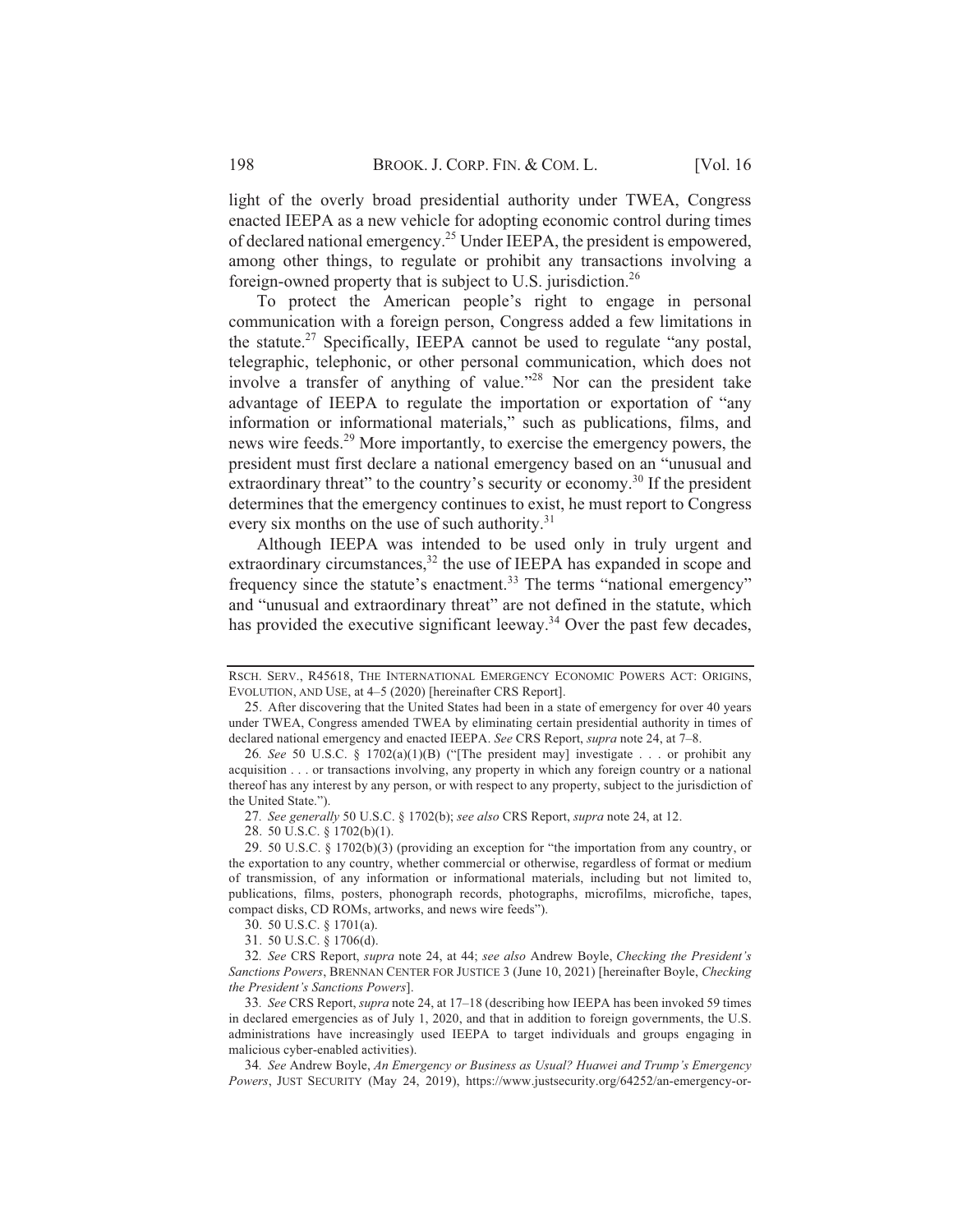light of the overly broad presidential authority under TWEA, Congress enacted IEEPA as a new vehicle for adopting economic control during times of declared national emergency.<sup>25</sup> Under IEEPA, the president is empowered, among other things, to regulate or prohibit any transactions involving a foreign-owned property that is subject to U.S. jurisdiction.<sup>26</sup>

To protect the American people's right to engage in personal communication with a foreign person, Congress added a few limitations in the statute.<sup>27</sup> Specifically, IEEPA cannot be used to regulate "any postal, telegraphic, telephonic, or other personal communication, which does not involve a transfer of anything of value."<sup>28</sup> Nor can the president take advantage of IEEPA to regulate the importation or exportation of "any information or informational materials," such as publications, films, and news wire feeds.<sup>29</sup> More importantly, to exercise the emergency powers, the president must first declare a national emergency based on an "unusual and extraordinary threat" to the country's security or economy.<sup>30</sup> If the president determines that the emergency continues to exist, he must report to Congress every six months on the use of such authority.<sup>31</sup>

Although IEEPA was intended to be used only in truly urgent and extraordinary circumstances,<sup>32</sup> the use of IEEPA has expanded in scope and frequency since the statute's enactment.<sup>33</sup> The terms "national emergency" and "unusual and extraordinary threat" are not defined in the statute, which has provided the executive significant leeway.<sup>34</sup> Over the past few decades,

RSCH. SERV., R45618, THE INTERNATIONAL EMERGENCY ECONOMIC POWERS ACT: ORIGINS, EVOLUTION, AND USE, at 4-5 (2020) [hereinafter CRS Report].

<sup>25.</sup> After discovering that the United States had been in a state of emergency for over 40 years under TWEA, Congress amended TWEA by eliminating certain presidential authority in times of declared national emergency and enacted IEEPA. See CRS Report, supra note 24, at 7-8.

<sup>26.</sup> See 50 U.S.C. § 1702(a)(1)(B) ("[The president may] investigate . . . or prohibit any acquisition . . . or transactions involving, any property in which any foreign country or a national thereof has any interest by any person, or with respect to any property, subject to the jurisdiction of the United State.").

<sup>27.</sup> See generally 50 U.S.C. § 1702(b); see also CRS Report, supra note 24, at 12.

<sup>28. 50</sup> U.S.C. § 1702(b)(1).

<sup>29. 50</sup> U.S.C. § 1702(b)(3) (providing an exception for "the importation from any country, or the exportation to any country, whether commercial or otherwise, regardless of format or medium of transmission, of any information or informational materials, including but not limited to, publications, films, posters, phonograph records, photographs, microfilms, microfiche, tapes, compact disks, CD ROMs, artworks, and news wire feeds").

<sup>30. 50</sup> U.S.C. § 1701(a).

<sup>31. 50</sup> U.S.C. § 1706(d).

<sup>32.</sup> See CRS Report, supra note 24, at 44; see also Andrew Boyle, Checking the President's Sanctions Powers, BRENNAN CENTER FOR JUSTICE 3 (June 10, 2021) [hereinafter Boyle, Checking the President's Sanctions Powers].

<sup>33.</sup> See CRS Report, *supra* note 24, at 17-18 (describing how IEEPA has been invoked 59 times in declared emergencies as of July 1, 2020, and that in addition to foreign governments, the U.S. administrations have increasingly used IEEPA to target individuals and groups engaging in malicious cyber-enabled activities).

<sup>34.</sup> See Andrew Boyle, An Emergency or Business as Usual? Huawei and Trump's Emergency Powers, JUST SECURITY (May 24, 2019), https://www.justsecurity.org/64252/an-emergency-or-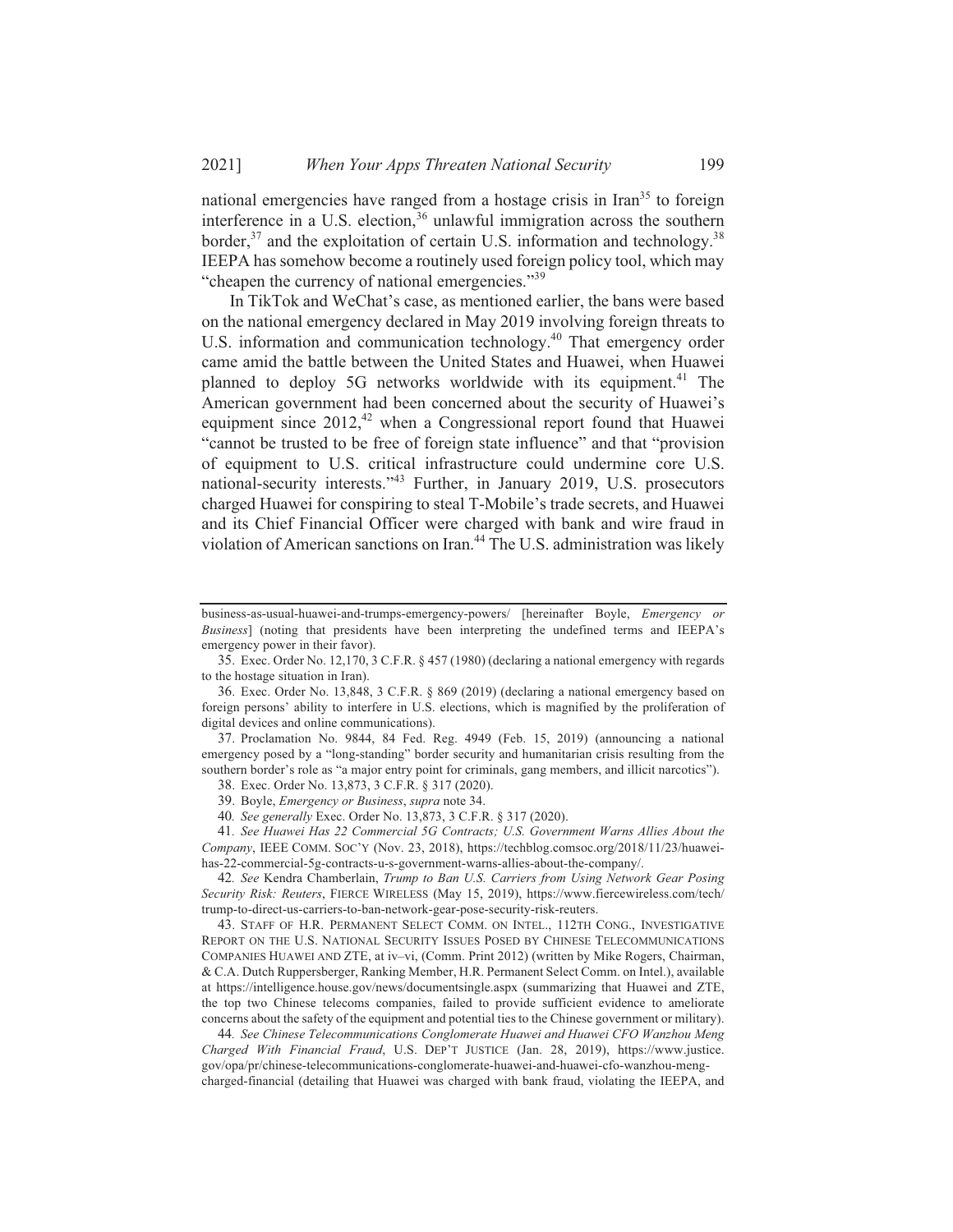national emergencies have ranged from a hostage crisis in Iran<sup>35</sup> to foreign interference in a U.S. election,<sup>36</sup> unlawful immigration across the southern border,  $37$  and the exploitation of certain U.S. information and technology.<sup>38</sup> IEEPA has somehow become a routinely used foreign policy tool, which may "cheapen the currency of national emergencies."<sup>39</sup>

In TikTok and WeChat's case, as mentioned earlier, the bans were based on the national emergency declared in May 2019 involving foreign threats to U.S. information and communication technology.<sup>40</sup> That emergency order came amid the battle between the United States and Huawei, when Huawei planned to deploy 5G networks worldwide with its equipment.<sup>41</sup> The American government had been concerned about the security of Huawei's equipment since 2012,<sup>42</sup> when a Congressional report found that Huawei "cannot be trusted to be free of foreign state influence" and that "provision of equipment to U.S. critical infrastructure could undermine core U.S. national-security interests."<sup>43</sup> Further, in January 2019, U.S. prosecutors charged Huawei for conspiring to steal T-Mobile's trade secrets, and Huawei and its Chief Financial Officer were charged with bank and wire fraud in violation of American sanctions on Iran.<sup>44</sup> The U.S. administration was likely

36. Exec. Order No. 13,848, 3 C.F.R. § 869 (2019) (declaring a national emergency based on foreign persons' ability to interfere in U.S. elections, which is magnified by the proliferation of digital devices and online communications).

37. Proclamation No. 9844, 84 Fed. Reg. 4949 (Feb. 15, 2019) (announcing a national emergency posed by a "long-standing" border security and humanitarian crisis resulting from the southern border's role as "a major entry point for criminals, gang members, and illicit narcotics").

38. Exec. Order No. 13,873, 3 C.F.R. § 317 (2020).

39. Boyle, *Emergency or Business*, *supra* note 34.

40. See generally Exec. Order No. 13,873, 3 C.F.R. § 317 (2020).

41. See Huawei Has 22 Commercial 5G Contracts; U.S. Government Warns Allies About the Company, IEEE COMM. SOC'Y (Nov. 23, 2018), https://techblog.comsoc.org/2018/11/23/huaweihas-22-commercial-5g-contracts-u-s-government-warns-allies-about-the-company/.

42. See Kendra Chamberlain, Trump to Ban U.S. Carriers from Using Network Gear Posing Security Risk: Reuters, FIERCE WIRELESS (May 15, 2019), https://www.fiercewireless.com/tech/ trump-to-direct-us-carriers-to-ban-network-gear-pose-security-risk-reuters.

43. STAFF OF H.R. PERMANENT SELECT COMM. ON INTEL., 112TH CONG., INVESTIGATIVE REPORT ON THE U.S. NATIONAL SECURITY ISSUES POSED BY CHINESE TELECOMMUNICATIONS COMPANIES HUAWEI AND ZTE, at iv-vi, (Comm. Print 2012) (written by Mike Rogers, Chairman, & C.A. Dutch Ruppersberger, Ranking Member, H.R. Permanent Select Comm. on Intel.), available at https://intelligence.house.gov/news/documentsingle.aspx (summarizing that Huawei and ZTE, the top two Chinese telecoms companies, failed to provide sufficient evidence to ameliorate concerns about the safety of the equipment and potential ties to the Chinese government or military).

44. See Chinese Telecommunications Conglomerate Huawei and Huawei CFO Wanzhou Meng Charged With Financial Fraud, U.S. DEP'T JUSTICE (Jan. 28, 2019), https://www.justice. gov/opa/pr/chinese-telecommunications-conglomerate-huawei-and-huawei-cfo-wanzhou-mengcharged-financial (detailing that Huawei was charged with bank fraud, violating the IEEPA, and

business-as-usual-huawei-and-trumps-emergency-powers/ [hereinafter Boyle, *Emergency or* Business] (noting that presidents have been interpreting the undefined terms and IEEPA's emergency power in their favor).

<sup>35.</sup> Exec. Order No. 12,170, 3 C.F.R. § 457 (1980) (declaring a national emergency with regards to the hostage situation in Iran).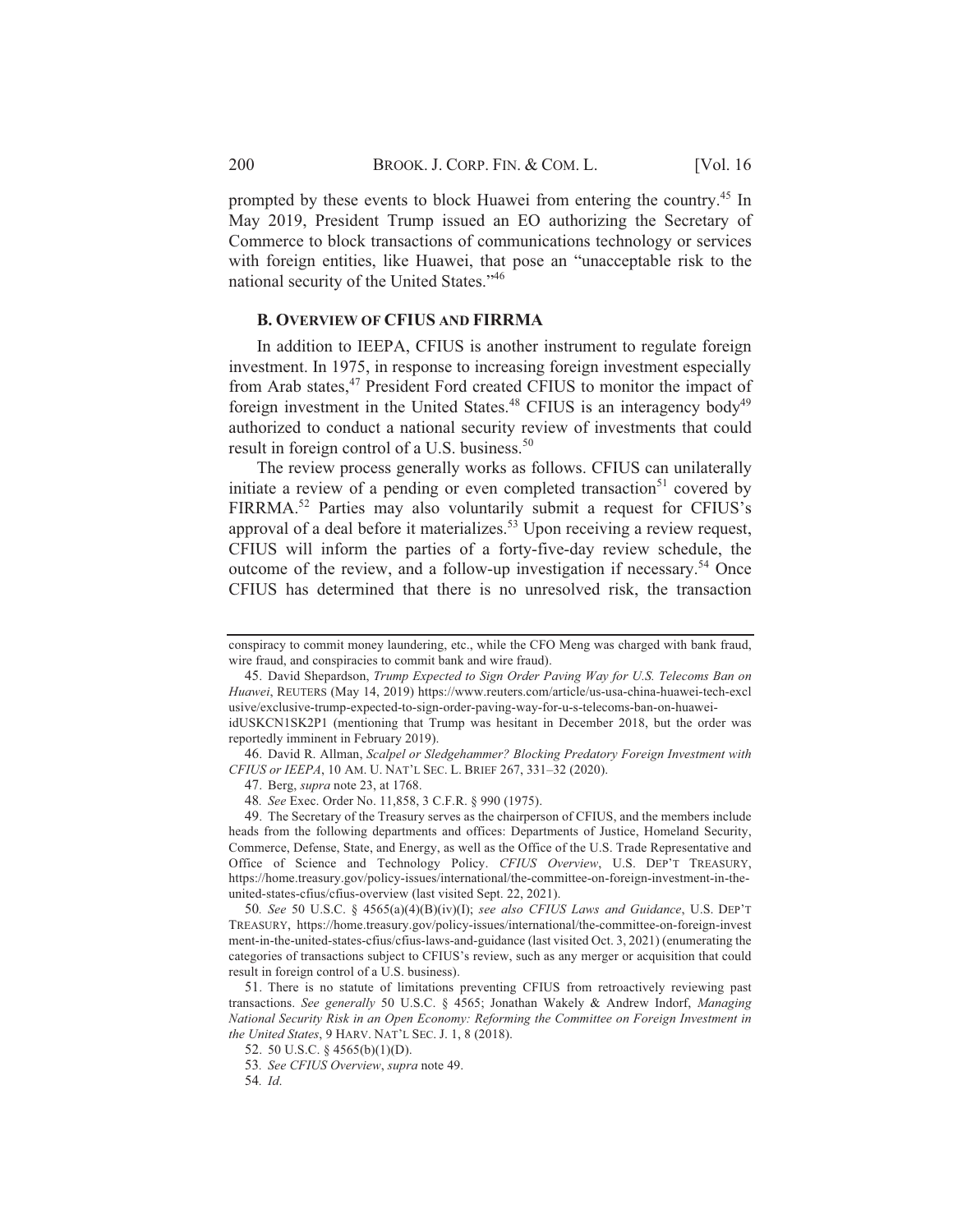prompted by these events to block Huawei from entering the country.<sup>45</sup> In May 2019, President Trump issued an EO authorizing the Secretary of Commerce to block transactions of communications technology or services with foreign entities, like Huawei, that pose an "unacceptable risk to the national security of the United States."46

### **B. OVERVIEW OF CFIUS AND FIRRMA**

In addition to IEEPA, CFIUS is another instrument to regulate foreign investment. In 1975, in response to increasing foreign investment especially from Arab states,<sup>47</sup> President Ford created CFIUS to monitor the impact of foreign investment in the United States.<sup>48</sup> CFIUS is an interagency body<sup>49</sup> authorized to conduct a national security review of investments that could result in foreign control of a U.S. business.<sup>50</sup>

The review process generally works as follows. CFIUS can unilaterally initiate a review of a pending or even completed transaction<sup>51</sup> covered by FIRRMA.<sup>52</sup> Parties may also voluntarily submit a request for CFIUS's approval of a deal before it materializes.<sup>53</sup> Upon receiving a review request, CFIUS will inform the parties of a forty-five-day review schedule, the outcome of the review, and a follow-up investigation if necessary.<sup>54</sup> Once CFIUS has determined that there is no unresolved risk, the transaction

conspiracy to commit money laundering, etc., while the CFO Meng was charged with bank fraud, wire fraud, and conspiracies to commit bank and wire fraud).

<sup>45.</sup> David Shepardson, Trump Expected to Sign Order Paving Way for U.S. Telecoms Ban on Huawei, REUTERS (May 14, 2019) https://www.reuters.com/article/us-usa-china-huawei-tech-excl usive/exclusive-trump-expected-to-sign-order-paving-way-for-u-s-telecoms-ban-on-huaweiidUSKCN1SK2P1 (mentioning that Trump was hesitant in December 2018, but the order was

reportedly imminent in February 2019).

<sup>46.</sup> David R. Allman, Scalpel or Sledgehammer? Blocking Predatory Foreign Investment with CFIUS or IEEPA, 10 AM. U. NAT'L SEC. L. BRIEF 267, 331-32 (2020).

<sup>47.</sup> Berg, *supra* note 23, at 1768.

<sup>48.</sup> See Exec. Order No. 11,858, 3 C.F.R. § 990 (1975).

<sup>49.</sup> The Secretary of the Treasury serves as the chairperson of CFIUS, and the members include heads from the following departments and offices: Departments of Justice, Homeland Security, Commerce, Defense, State, and Energy, as well as the Office of the U.S. Trade Representative and Office of Science and Technology Policy. CFIUS Overview, U.S. DEP'T TREASURY, https://home.treasury.gov/policy-issues/international/the-committee-on-foreign-investment-in-theunited-states-cfius/cfius-overview (last visited Sept. 22, 2021).

<sup>50.</sup> See 50 U.S.C. § 4565(a)(4)(B)(iv)(I); see also CFIUS Laws and Guidance, U.S. DEP'T TREASURY, https://home.treasury.gov/policy-issues/international/the-committee-on-foreign-invest ment-in-the-united-states-cfius/cfius-laws-and-guidance (last visited Oct. 3, 2021) (enumerating the categories of transactions subject to CFIUS's review, such as any merger or acquisition that could result in foreign control of a U.S. business).

<sup>51.</sup> There is no statute of limitations preventing CFIUS from retroactively reviewing past transactions. See generally 50 U.S.C. § 4565; Jonathan Wakely & Andrew Indorf, Managing National Security Risk in an Open Economy: Reforming the Committee on Foreign Investment in the United States, 9 HARV. NAT'L SEC. J. 1, 8 (2018).

<sup>52. 50</sup> U.S.C. § 4565(b)(1)(D).

<sup>53.</sup> See CFIUS Overview, supra note 49.

<sup>54.</sup> Id.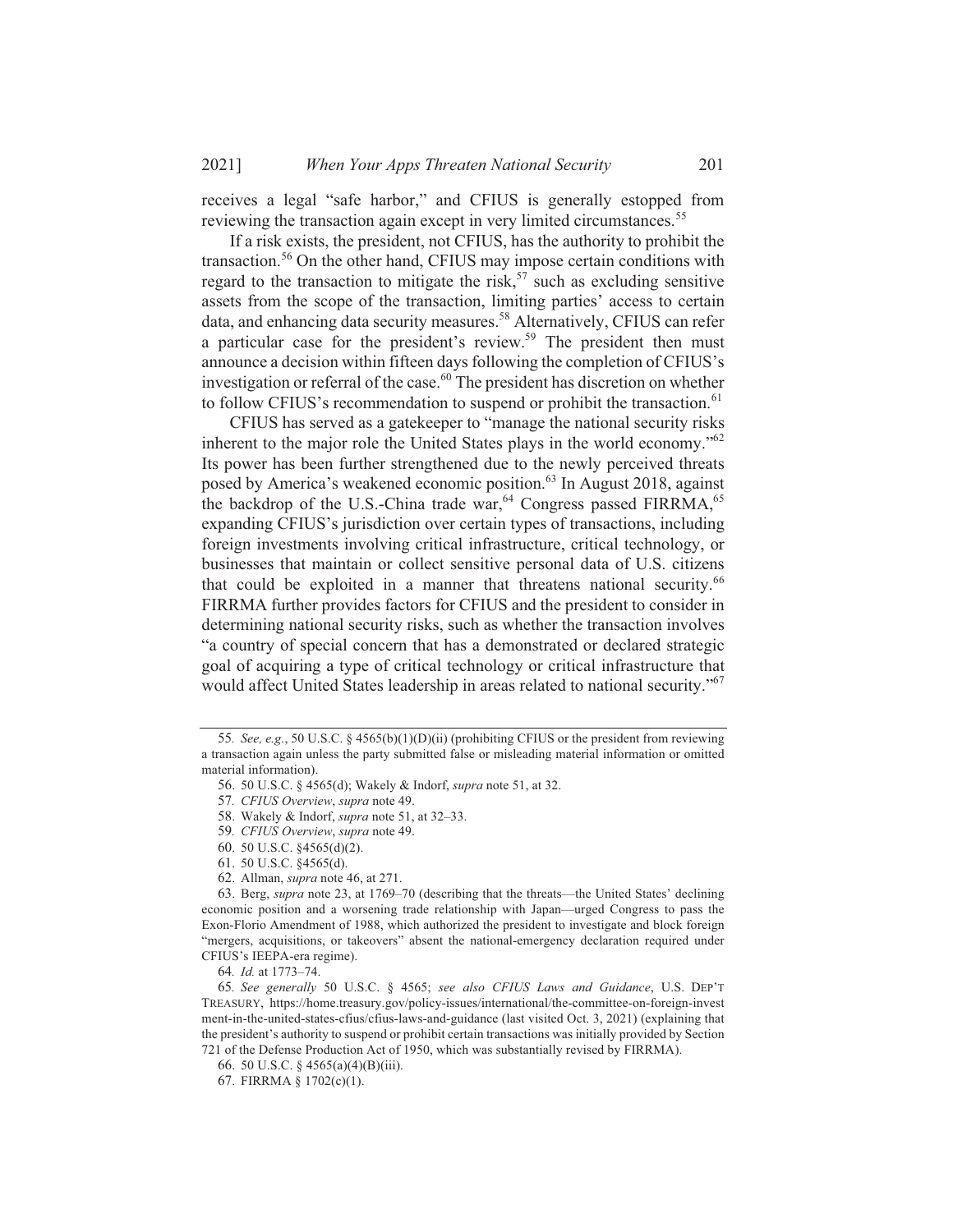receives a legal "safe harbor," and CFIUS is generally estopped from reviewing the transaction again except in very limited circumstances.<sup>55</sup>

If a risk exists, the president, not CFIUS, has the authority to prohibit the transaction.<sup>56</sup> On the other hand, CFIUS may impose certain conditions with regard to the transaction to mitigate the risk,<sup>57</sup> such as excluding sensitive assets from the scope of the transaction, limiting parties' access to certain data, and enhancing data security measures.<sup>58</sup> Alternatively, CFIUS can refer a particular case for the president's review.<sup>59</sup> The president then must announce a decision within fifteen days following the completion of CFIUS's investigation or referral of the case.<sup>60</sup> The president has discretion on whether to follow CFIUS's recommendation to suspend or prohibit the transaction.<sup>61</sup>

CFIUS has served as a gate keeper to "manage the national security risks" inherent to the major role the United States plays in the world economy."<sup>62</sup> Its power has been further strengthened due to the newly perceived threats posed by America's weakened economic position.<sup>63</sup> In August 2018, against the backdrop of the U.S.-China trade war,<sup>64</sup> Congress passed FIRRMA,<sup>65</sup> expanding CFIUS's jurisdiction over certain types of transactions, including foreign investments involving critical infrastructure, critical technology, or businesses that maintain or collect sensitive personal data of U.S. citizens that could be exploited in a manner that threatens national security.<sup>66</sup> FIRRMA further provides factors for CFIUS and the president to consider in determining national security risks, such as whether the transaction involves "a country of special concern that has a demonstrated or declared strategic goal of acquiring a type of critical technology or critical infrastructure that would affect United States leadership in areas related to national security."<sup>67</sup>

64. Id. at 1773-74.

<sup>55.</sup> See, e.g., 50 U.S.C. § 4565(b)(1)(D)(ii) (prohibiting CFIUS or the president from reviewing a transaction again unless the party submitted false or misleading material information or omitted material information).

<sup>56. 50</sup> U.S.C. § 4565(d); Wakely & Indorf, *supra* note 51, at 32.

<sup>57.</sup> CFIUS Overview, supra note 49.

<sup>58.</sup> Wakely & Indorf, *supra* note 51, at 32-33.

<sup>59.</sup> CFIUS Overview, supra note 49.

<sup>60. 50</sup> U.S.C. §4565(d)(2).

<sup>61. 50</sup> U.S.C. §4565(d).

<sup>62.</sup> Allman, *supra* note 46, at 271.

<sup>63.</sup> Berg, *supra* note 23, at 1769–70 (describing that the threats—the United States' declining economic position and a worsening trade relationship with Japan—urged Congress to pass the Exon-Florio Amendment of 1988, which authorized the president to investigate and block foreign "mergers, acquisitions, or takeovers" absent the national-emergency declaration required under CFIUS's IEEPA-era regime).

<sup>65.</sup> See generally 50 U.S.C. § 4565; see also CFIUS Laws and Guidance, U.S. DEP'T TREASURY, https://home.treasury.gov/policy-issues/international/the-committee-on-foreign-invest ment-in-the-united-states-cfius/cfius-laws-and-guidance (last visited Oct. 3, 2021) (explaining that the president's authority to suspend or prohibit certain transactions was initially provided by Section 721 of the Defense Production Act of 1950, which was substantially revised by FIRRMA).

<sup>66. 50</sup> U.S.C. § 4565(a)(4)(B)(iii).

<sup>67.</sup> FIRRMA §  $1702(c)(1)$ .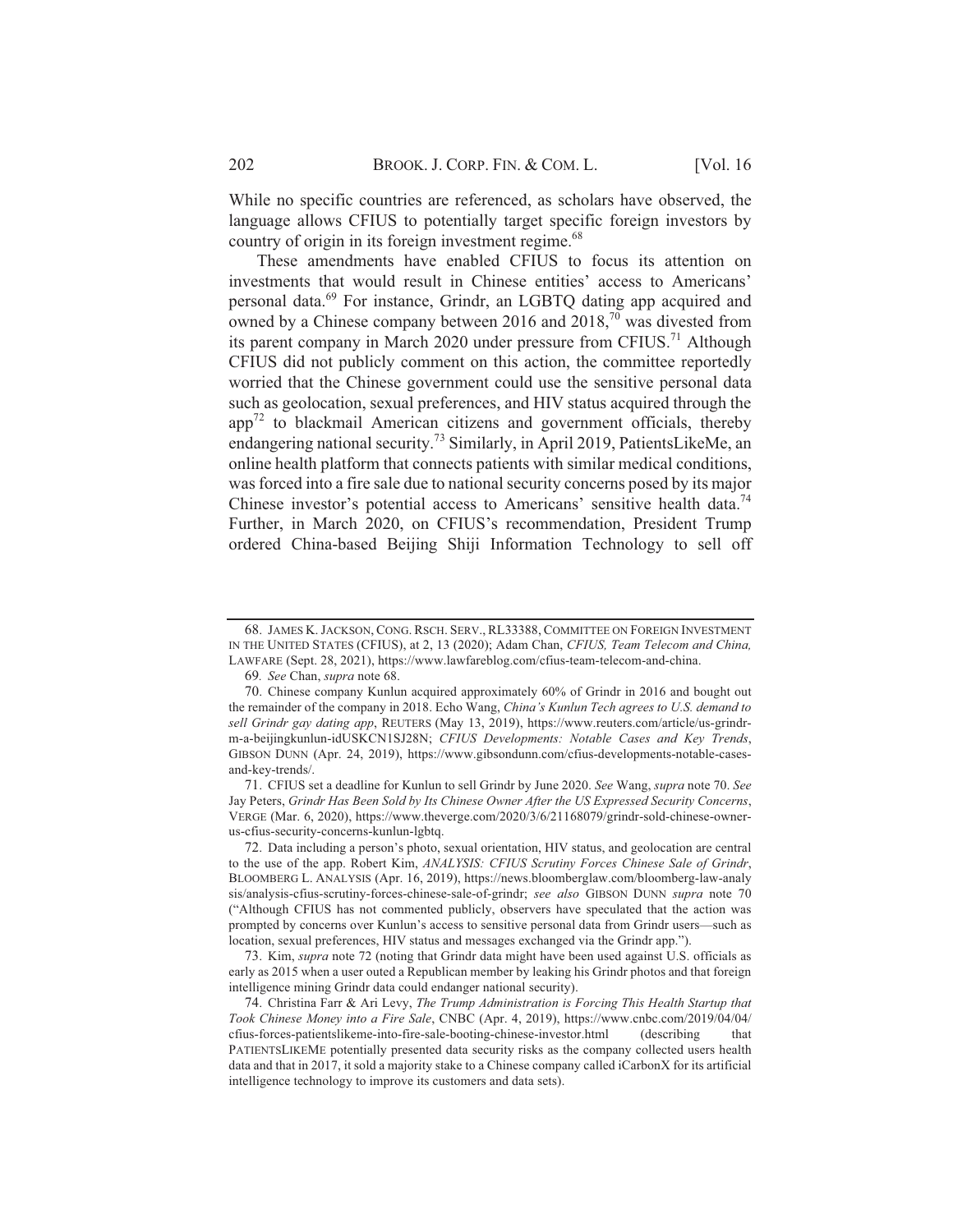While no specific countries are referenced, as scholars have observed, the language allows CFIUS to potentially target specific foreign investors by country of origin in its foreign investment regime.<sup>68</sup>

These amendments have enabled CFIUS to focus its attention on investments that would result in Chinese entities' access to Americans' personal data.<sup>69</sup> For instance, Grindr, an LGBTQ dating app acquired and owned by a Chinese company between 2016 and  $2018<sup>70</sup>$  was divested from its parent company in March 2020 under pressure from CFIUS.<sup>71</sup> Although CFIUS did not publicly comment on this action, the committee reportedly worried that the Chinese government could use the sensitive personal data such as geolocation, sexual preferences, and HIV status acquired through the  $app<sup>72</sup>$  to blackmail American citizens and government officials, thereby endangering national security.<sup>73</sup> Similarly, in April 2019, PatientsLikeMe, an online health platform that connects patients with similar medical conditions, was forced into a fire sale due to national security concerns posed by its major Chinese investor's potential access to Americans' sensitive health data.<sup>74</sup> Further, in March 2020, on CFIUS's recommendation, President Trump ordered China-based Beijing Shiji Information Technology to sell off

71. CFIUS set a deadline for Kunlun to sell Grindr by June 2020. See Wang, supra note 70. See Jay Peters, Grindr Has Been Sold by Its Chinese Owner After the US Expressed Security Concerns, VERGE (Mar. 6, 2020), https://www.theverge.com/2020/3/6/21168079/grindr-sold-chinese-ownerus-cfius-security-concerns-kunlun-lgbtq.

72. Data including a person's photo, sexual orientation, HIV status, and geolocation are central to the use of the app. Robert Kim, ANALYSIS: CFIUS Scrutiny Forces Chinese Sale of Grindr, BLOOMBERG L. ANALYSIS (Apr. 16, 2019), https://news.bloomberglaw.com/bloomberg-law-analy sis/analysis-cfius-scrutiny-forces-chinese-sale-of-grindr; see also GIBSON DUNN supra note 70 ("Although CFIUS has not commented publicly, observers have speculated that the action was prompted by concerns over Kunlun's access to sensitive personal data from Grindr users-such as location, sexual preferences, HIV status and messages exchanged via the Grindr app.").

73. Kim, *supra* note 72 (noting that Grindr data might have been used against U.S. officials as early as 2015 when a user outed a Republican member by leaking his Grindr photos and that foreign intelligence mining Grindr data could endanger national security).

<sup>68.</sup> JAMES K. JACKSON, CONG. RSCH. SERV., RL33388, COMMITTEE ON FOREIGN INVESTMENT IN THE UNITED STATES (CFIUS), at 2, 13 (2020); Adam Chan, CFIUS, Team Telecom and China, LAWFARE (Sept. 28, 2021), https://www.lawfareblog.com/cfius-team-telecom-and-china.

<sup>69.</sup> See Chan, supra note 68.

<sup>70.</sup> Chinese company Kunlun acquired approximately 60% of Grindr in 2016 and bought out the remainder of the company in 2018. Echo Wang, China's Kunlun Tech agrees to U.S. demand to sell Grindr gay dating app, REUTERS (May 13, 2019), https://www.reuters.com/article/us-grindrm-a-beijingkunlun-idUSKCN1SJ28N; CFIUS Developments: Notable Cases and Key Trends, GIBSON DUNN (Apr. 24, 2019), https://www.gibsondunn.com/cfius-developments-notable-casesand-key-trends/.

<sup>74.</sup> Christina Farr & Ari Levy, The Trump Administration is Forcing This Health Startup that Took Chinese Money into a Fire Sale, CNBC (Apr. 4, 2019), https://www.cnbc.com/2019/04/04/ cfius-forces-patientslikeme-into-fire-sale-booting-chinese-investor.html (describing) that PATIENTSLIKEME potentially presented data security risks as the company collected users health data and that in 2017, it sold a majority stake to a Chinese company called iCarbonX for its artificial intelligence technology to improve its customers and data sets).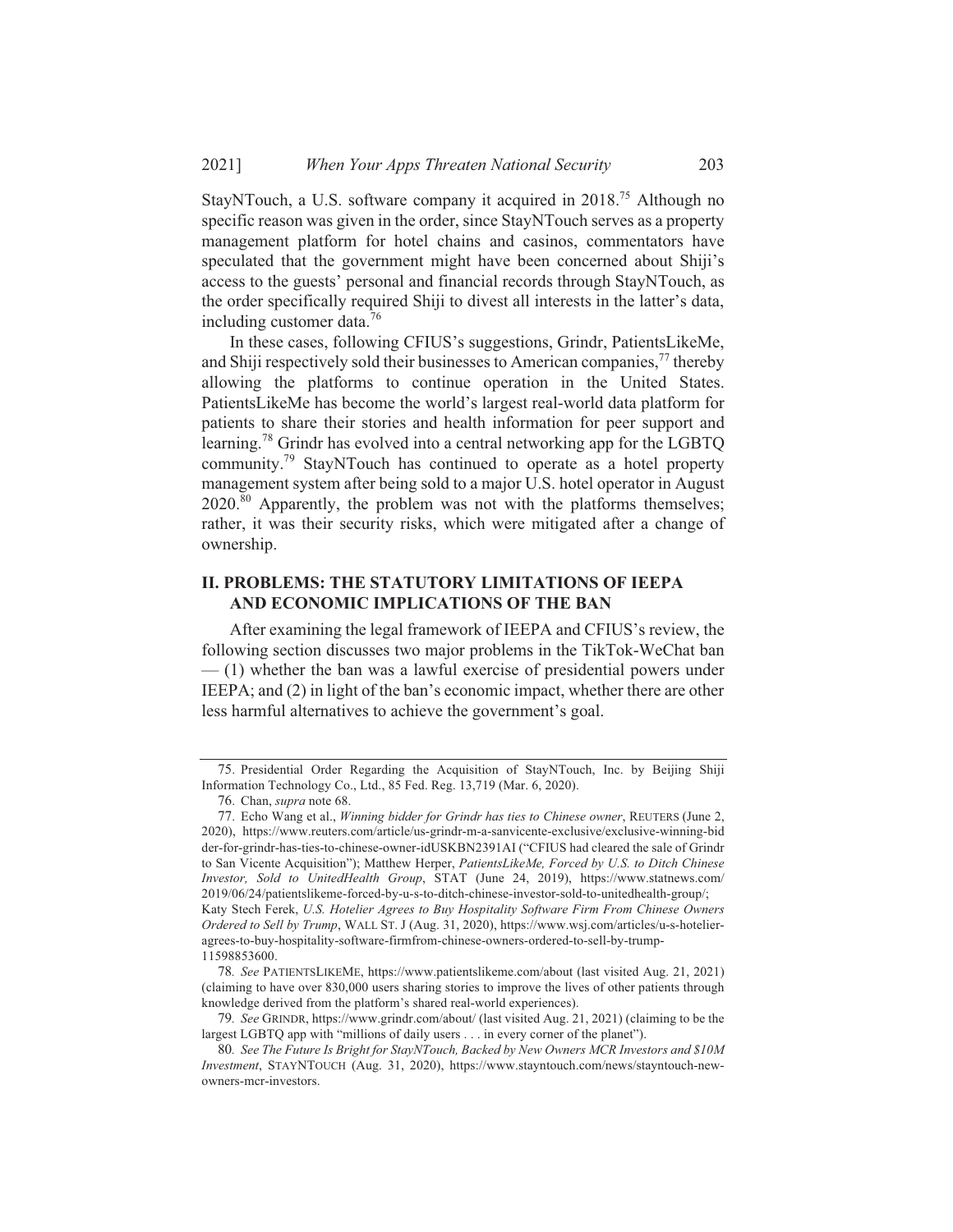StayNTouch, a U.S. software company it acquired in 2018.<sup>75</sup> Although no specific reason was given in the order, since StayNTouch serves as a property management platform for hotel chains and casinos, commentators have speculated that the government might have been concerned about Shiji's access to the guests' personal and financial records through StayNTouch, as the order specifically required Shiji to divest all interests in the latter's data, including customer data.<sup>76</sup>

In these cases, following CFIUS's suggestions, Grindr, PatientsLikeMe, and Shiji respectively sold their businesses to American companies.<sup>77</sup> thereby allowing the platforms to continue operation in the United States. PatientsLikeMe has become the world's largest real-world data platform for patients to share their stories and health information for peer support and learning.<sup>78</sup> Grindr has evolved into a central networking app for the LGBTQ community.<sup>79</sup> StayNTouch has continued to operate as a hotel property management system after being sold to a major U.S. hotel operator in August 2020.<sup>80</sup> Apparently, the problem was not with the platforms themselves; rather, it was their security risks, which were mitigated after a change of ownership.

### II. PROBLEMS: THE STATUTORY LIMITATIONS OF IEEPA AND ECONOMIC IMPLICATIONS OF THE BAN

After examining the legal framework of IEEPA and CFIUS's review, the following section discusses two major problems in the TikTok-WeChat ban  $-$  (1) whether the ban was a lawful exercise of presidential powers under IEEPA; and (2) in light of the ban's economic impact, whether there are other less harmful alternatives to achieve the government's goal.

78. See PATIENTSLIKEME, https://www.patientslikeme.com/about (last visited Aug. 21, 2021) (claiming to have over 830,000 users sharing stories to improve the lives of other patients through knowledge derived from the platform's shared real-world experiences).

<sup>75.</sup> Presidential Order Regarding the Acquisition of StayNTouch, Inc. by Beijing Shiji Information Technology Co., Ltd., 85 Fed. Reg. 13,719 (Mar. 6, 2020).

<sup>76.</sup> Chan, *supra* note 68.

<sup>77.</sup> Echo Wang et al., Winning bidder for Grindr has ties to Chinese owner, REUTERS (June 2, 2020), https://www.reuters.com/article/us-grindr-m-a-sanvicente-exclusive/exclusive-winning-bid der-for-grindr-has-ties-to-chinese-owner-idUSKBN2391AI ("CFIUS had cleared the sale of Grindr to San Vicente Acquisition"); Matthew Herper, PatientsLikeMe, Forced by U.S. to Ditch Chinese Investor, Sold to UnitedHealth Group, STAT (June 24, 2019), https://www.statnews.com/ 2019/06/24/patientslikeme-forced-by-u-s-to-ditch-chinese-investor-sold-to-unitedhealth-group/; Katy Stech Ferek, U.S. Hotelier Agrees to Buy Hospitality Software Firm From Chinese Owners Ordered to Sell by Trump, WALL ST. J (Aug. 31, 2020), https://www.wsj.com/articles/u-s-hotelieragrees-to-buy-hospitality-software-firmfrom-chinese-owners-ordered-to-sell-by-trump-11598853600.

<sup>79.</sup> See GRINDR, https://www.grindr.com/about/ (last visited Aug. 21, 2021) (claiming to be the largest LGBTQ app with "millions of daily users . . . in every corner of the planet").

<sup>80.</sup> See The Future Is Bright for StayNTouch, Backed by New Owners MCR Investors and \$10M Investment, STAYNTOUCH (Aug. 31, 2020), https://www.stayntouch.com/news/stayntouch-newowners-mcr-investors.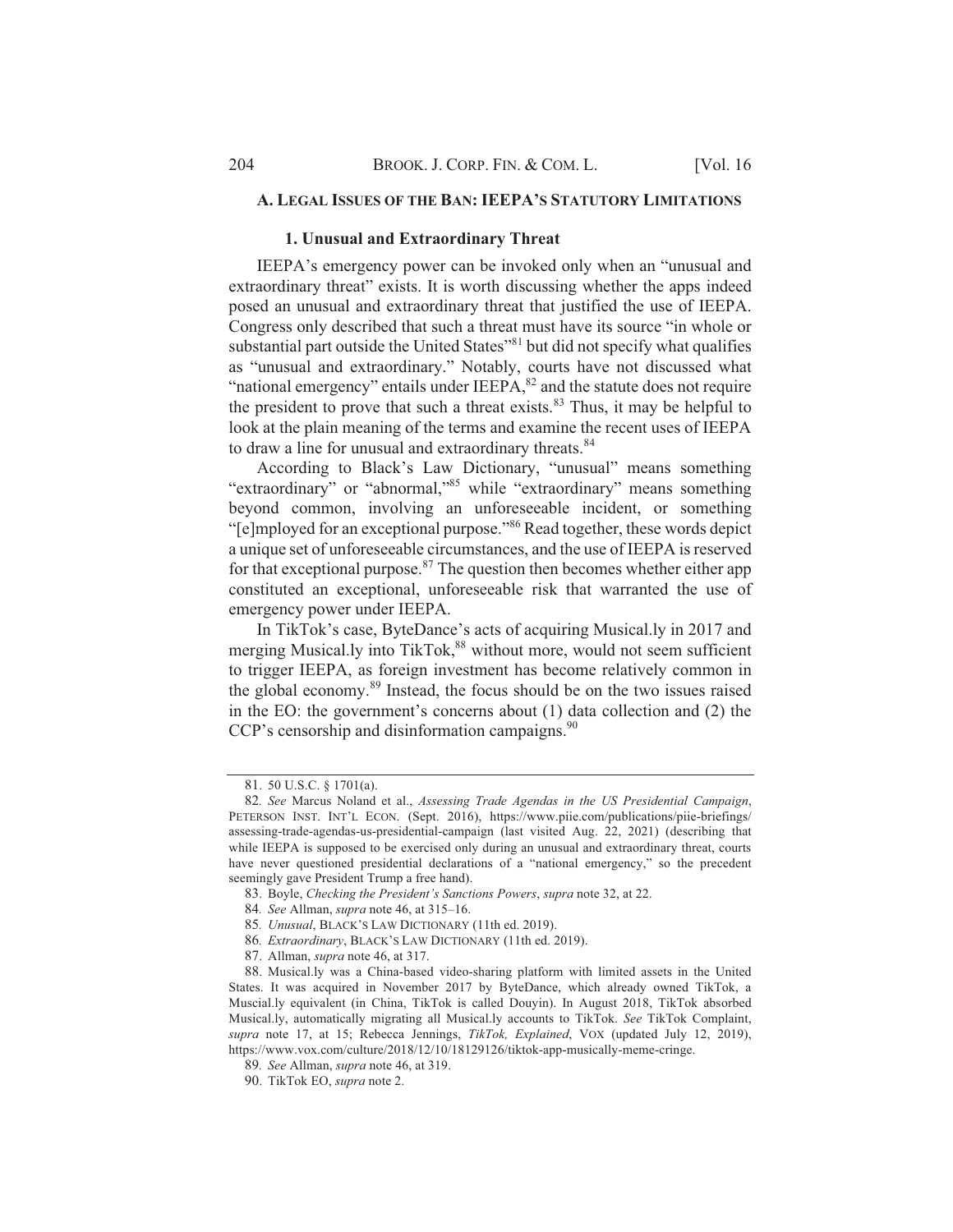### A. LEGAL ISSUES OF THE BAN: IEEPA'S STATUTORY LIMITATIONS

### 1. Unusual and Extraordinary Threat

IEEPA's emergency power can be invoked only when an "unusual and extraordinary threat" exists. It is worth discussing whether the apps indeed posed an unusual and extraordinary threat that justified the use of IEEPA. Congress only described that such a threat must have its source "in whole or substantial part outside the United States"<sup>81</sup> but did not specify what qualifies as "unusual and extraordinary." Notably, courts have not discussed what "national emergency" entails under IEEPA,<sup>82</sup> and the statute does not require the president to prove that such a threat exists.<sup>83</sup> Thus, it may be helpful to look at the plain meaning of the terms and examine the recent uses of IEEPA to draw a line for unusual and extraordinary threats.<sup>84</sup>

According to Black's Law Dictionary, "unusual" means something "extraordinary" or "abnormal,"<sup>85</sup> while "extraordinary" means something beyond common, involving an unforeseeable incident, or something "[e]mployed for an exceptional purpose."<sup>86</sup> Read together, these words depict a unique set of unforeseeable circumstances, and the use of IEEPA is reserved for that exceptional purpose.<sup>87</sup> The question then becomes whether either app constituted an exceptional, unforeseeable risk that warranted the use of emergency power under IEEPA.

In TikTok's case, ByteDance's acts of acquiring Musical.ly in 2017 and merging Musical.ly into TikTok,<sup>88</sup> without more, would not seem sufficient to trigger IEEPA, as foreign investment has become relatively common in the global economy.<sup>89</sup> Instead, the focus should be on the two issues raised in the EO: the government's concerns about (1) data collection and (2) the CCP's censorship and disinformation campaigns.<sup>90</sup>

<sup>81. 50</sup> U.S.C. § 1701(a).

<sup>82.</sup> See Marcus Noland et al., Assessing Trade Agendas in the US Presidential Campaign, PETERSON INST. INT'L ECON. (Sept. 2016), https://www.piie.com/publications/piie-briefings/ assessing-trade-agendas-us-presidential-campaign (last visited Aug. 22, 2021) (describing that while IEEPA is supposed to be exercised only during an unusual and extraordinary threat, courts have never questioned presidential declarations of a "national emergency," so the precedent seemingly gave President Trump a free hand).

<sup>83.</sup> Boyle, Checking the President's Sanctions Powers, supra note 32, at 22.

<sup>84.</sup> See Allman, *supra* note 46, at 315-16.

<sup>85.</sup> Unusual, BLACK'S LAW DICTIONARY (11th ed. 2019).

<sup>86.</sup> Extraordinary, BLACK'S LAW DICTIONARY (11th ed. 2019).

<sup>87.</sup> Allman, *supra* note 46, at 317.

<sup>88.</sup> Musical.ly was a China-based video-sharing platform with limited assets in the United States. It was acquired in November 2017 by ByteDance, which already owned TikTok, a Muscial.ly equivalent (in China, TikTok is called Douyin). In August 2018, TikTok absorbed Musical.ly, automatically migrating all Musical.ly accounts to TikTok. See TikTok Complaint, supra note 17, at 15; Rebecca Jennings, TikTok, Explained, VOX (updated July 12, 2019), https://www.vox.com/culture/2018/12/10/18129126/tiktok-app-musically-meme-cringe.

<sup>89.</sup> See Allman, supra note 46, at 319.

<sup>90.</sup> TikTok EO, supra note 2.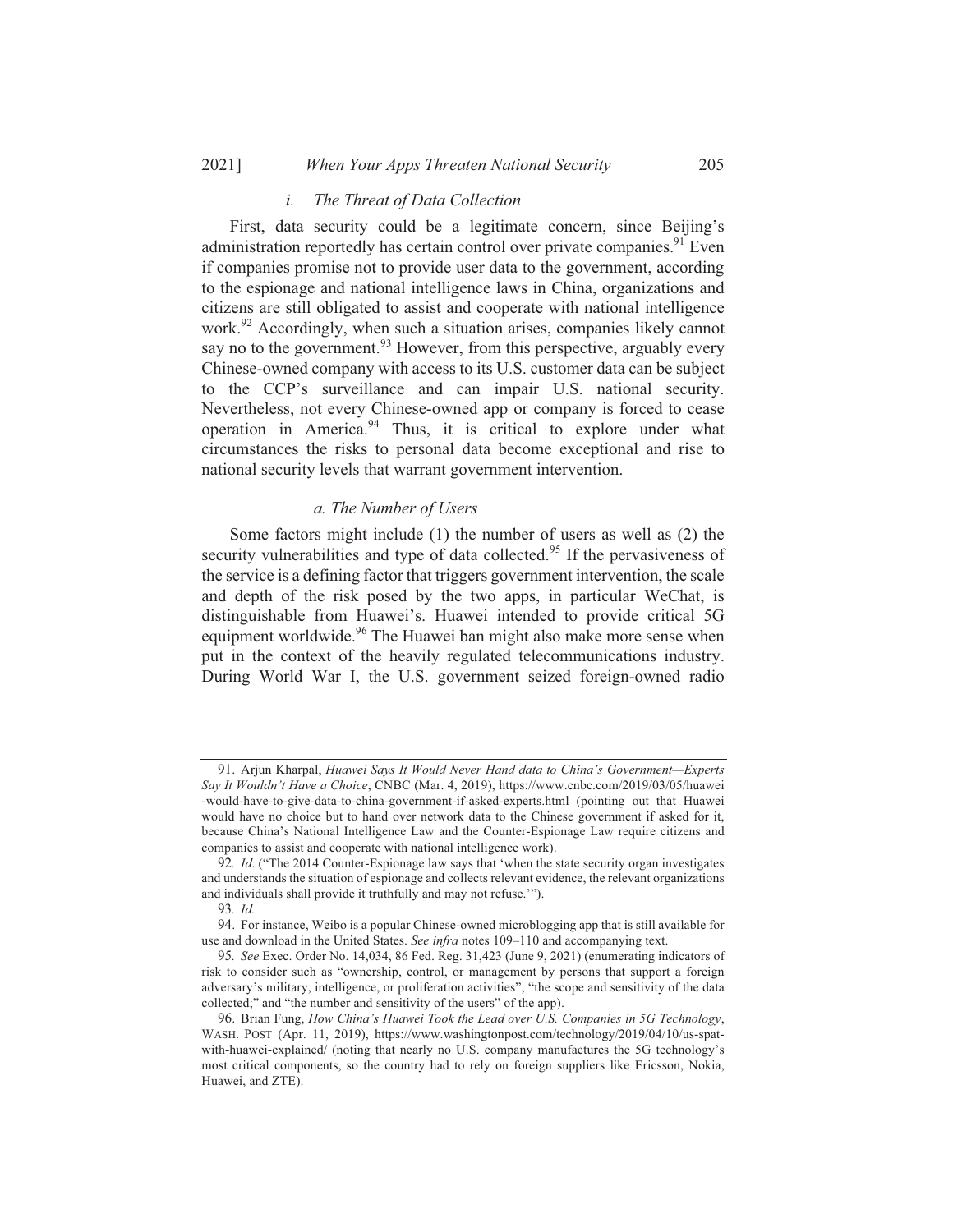#### 20211 When Your Apps Threaten National Security

#### $\dot{i}$ . The Threat of Data Collection

First, data security could be a legitimate concern, since Beijing's administration reportedly has certain control over private companies.<sup>91</sup> Even if companies promise not to provide user data to the government, according to the espionage and national intelligence laws in China, organizations and citizens are still obligated to assist and cooperate with national intelligence work.<sup>92</sup> Accordingly, when such a situation arises, companies likely cannot say no to the government.<sup>93</sup> However, from this perspective, arguably every Chinese-owned company with access to its U.S. customer data can be subject to the CCP's surveillance and can impair U.S. national security. Nevertheless, not every Chinese-owned app or company is forced to cease operation in America.<sup>94</sup> Thus, it is critical to explore under what circumstances the risks to personal data become exceptional and rise to national security levels that warrant government intervention.

### a. The Number of Users

Some factors might include (1) the number of users as well as (2) the security vulnerabilities and type of data collected.<sup>95</sup> If the pervasiveness of the service is a defining factor that triggers government intervention, the scale and depth of the risk posed by the two apps, in particular WeChat, is distinguishable from Huawei's. Huawei intended to provide critical 5G equipment worldwide.<sup>96</sup> The Huawei ban might also make more sense when put in the context of the heavily regulated telecommunications industry. During World War I, the U.S. government seized foreign-owned radio

<sup>91.</sup> Arjun Kharpal, Huawei Says It Would Never Hand data to China's Government-Experts Say It Wouldn't Have a Choice, CNBC (Mar. 4, 2019), https://www.cnbc.com/2019/03/05/huawei -would-have-to-give-data-to-china-government-if-asked-experts.html (pointing out that Huawei would have no choice but to hand over network data to the Chinese government if asked for it, because China's National Intelligence Law and the Counter-Espionage Law require citizens and companies to assist and cooperate with national intelligence work).

<sup>92.</sup> Id. ("The 2014 Counter-Espionage law says that 'when the state security organ investigates and understands the situation of espionage and collects relevant evidence, the relevant organizations and individuals shall provide it truthfully and may not refuse."").

 $93 \text{ }\overline{1d}$ 

<sup>94.</sup> For instance, Weibo is a popular Chinese-owned microblogging app that is still available for use and download in the United States. See infra notes 109-110 and accompanying text.

<sup>95.</sup> See Exec. Order No. 14,034, 86 Fed. Reg. 31,423 (June 9, 2021) (enumerating indicators of risk to consider such as "ownership, control, or management by persons that support a foreign adversary's military, intelligence, or proliferation activities"; "the scope and sensitivity of the data collected;" and "the number and sensitivity of the users" of the app).

<sup>96.</sup> Brian Fung, How China's Huawei Took the Lead over U.S. Companies in 5G Technology, WASH. POST (Apr. 11, 2019), https://www.washingtonpost.com/technology/2019/04/10/us-spatwith-huawei-explained/ (noting that nearly no U.S. company manufactures the 5G technology's most critical components, so the country had to rely on foreign suppliers like Ericsson, Nokia, Huawei, and ZTE).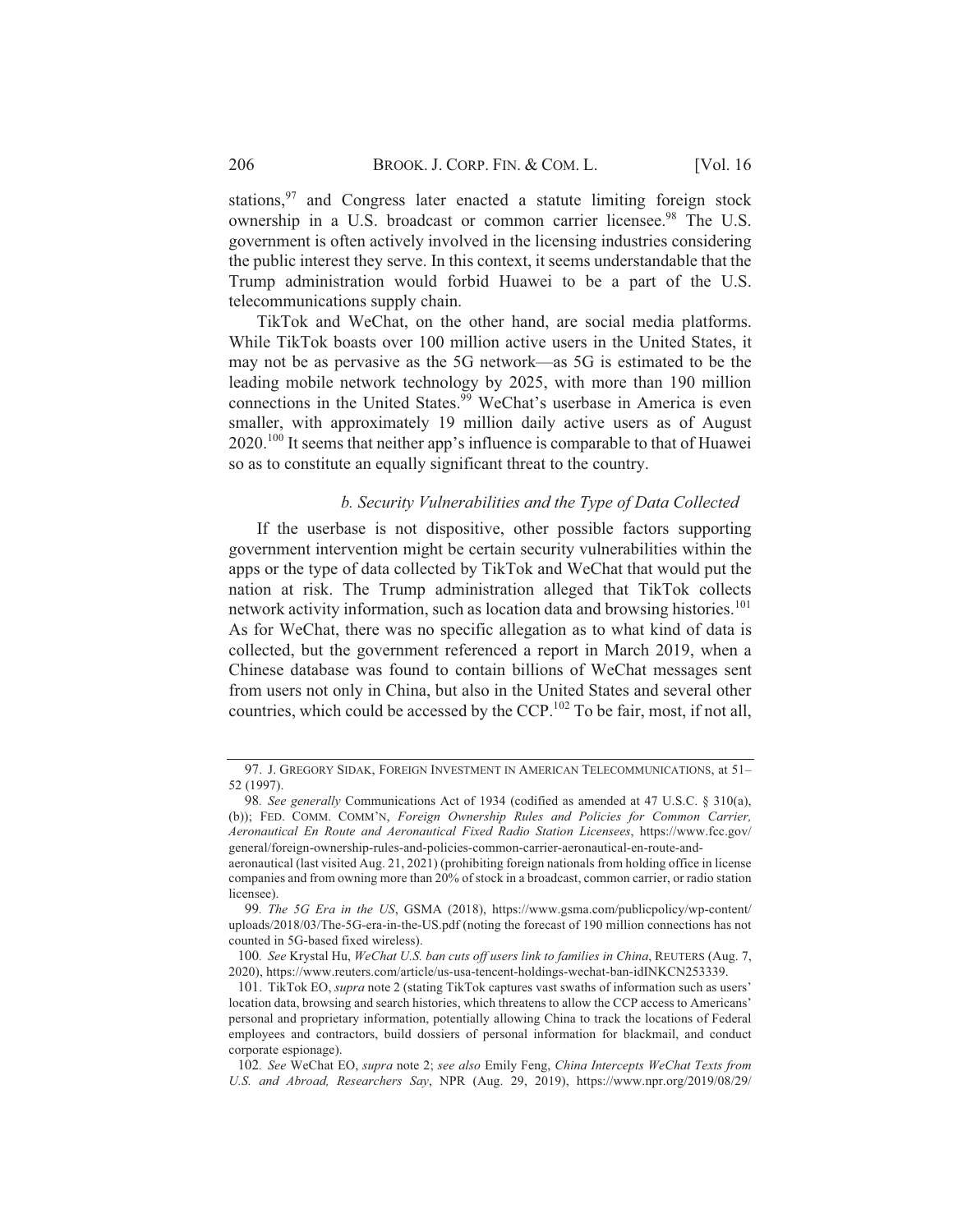stations,<sup>97</sup> and Congress later enacted a statute limiting foreign stock ownership in a U.S. broadcast or common carrier licensee.<sup>98</sup> The U.S. government is often actively involved in the licensing industries considering the public interest they serve. In this context, it seems understandable that the Trump administration would forbid Huawei to be a part of the U.S. telecommunications supply chain.

TikTok and WeChat, on the other hand, are social media platforms. While TikTok boasts over 100 million active users in the United States, it may not be as pervasive as the 5G network—as 5G is estimated to be the leading mobile network technology by 2025, with more than 190 million connections in the United States.<sup>99</sup> WeChat's userbase in America is even smaller, with approximately 19 million daily active users as of August  $2020$ .<sup>100</sup> It seems that neither app's influence is comparable to that of Huawei so as to constitute an equally significant threat to the country.

### b. Security Vulnerabilities and the Type of Data Collected

If the userbase is not dispositive, other possible factors supporting government intervention might be certain security vulnerabilities within the apps or the type of data collected by TikTok and WeChat that would put the nation at risk. The Trump administration alleged that TikTok collects network activity information, such as location data and browsing histories.<sup>101</sup> As for WeChat, there was no specific allegation as to what kind of data is collected, but the government referenced a report in March 2019, when a Chinese database was found to contain billions of WeChat messages sent from users not only in China, but also in the United States and several other countries, which could be accessed by the CCP.<sup>102</sup> To be fair, most, if not all,

<sup>97.</sup> J. GREGORY SIDAK, FOREIGN INVESTMENT IN AMERICAN TELECOMMUNICATIONS, at 51-52 (1997).

<sup>98.</sup> See generally Communications Act of 1934 (codified as amended at 47 U.S.C. § 310(a), (b)); FED. COMM. COMM'N, Foreign Ownership Rules and Policies for Common Carrier, Aeronautical En Route and Aeronautical Fixed Radio Station Licensees, https://www.fcc.gov/ general/foreign-ownership-rules-and-policies-common-carrier-aeronautical-en-route-and-

aeronautical (last visited Aug. 21, 2021) (prohibiting foreign nationals from holding office in license companies and from owning more than 20% of stock in a broadcast, common carrier, or radio station licensee).

<sup>99.</sup> The 5G Era in the US, GSMA (2018), https://www.gsma.com/publicpolicy/wp-content/ uploads/2018/03/The-5G-era-in-the-US.pdf (noting the forecast of 190 million connections has not counted in 5G-based fixed wireless).

<sup>100.</sup> See Krystal Hu, WeChat U.S. ban cuts off users link to families in China, REUTERS (Aug. 7, 2020), https://www.reuters.com/article/us-usa-tencent-holdings-wechat-ban-idINKCN253339.

<sup>101.</sup> TikTok EO, *supra* note 2 (stating TikTok captures vast swaths of information such as users' location data, browsing and search histories, which threatens to allow the CCP access to Americans' personal and proprietary information, potentially allowing China to track the locations of Federal employees and contractors, build dossiers of personal information for blackmail, and conduct corporate espionage).

<sup>102.</sup> See WeChat EO, supra note 2; see also Emily Feng, China Intercepts WeChat Texts from U.S. and Abroad, Researchers Say, NPR (Aug. 29, 2019), https://www.npr.org/2019/08/29/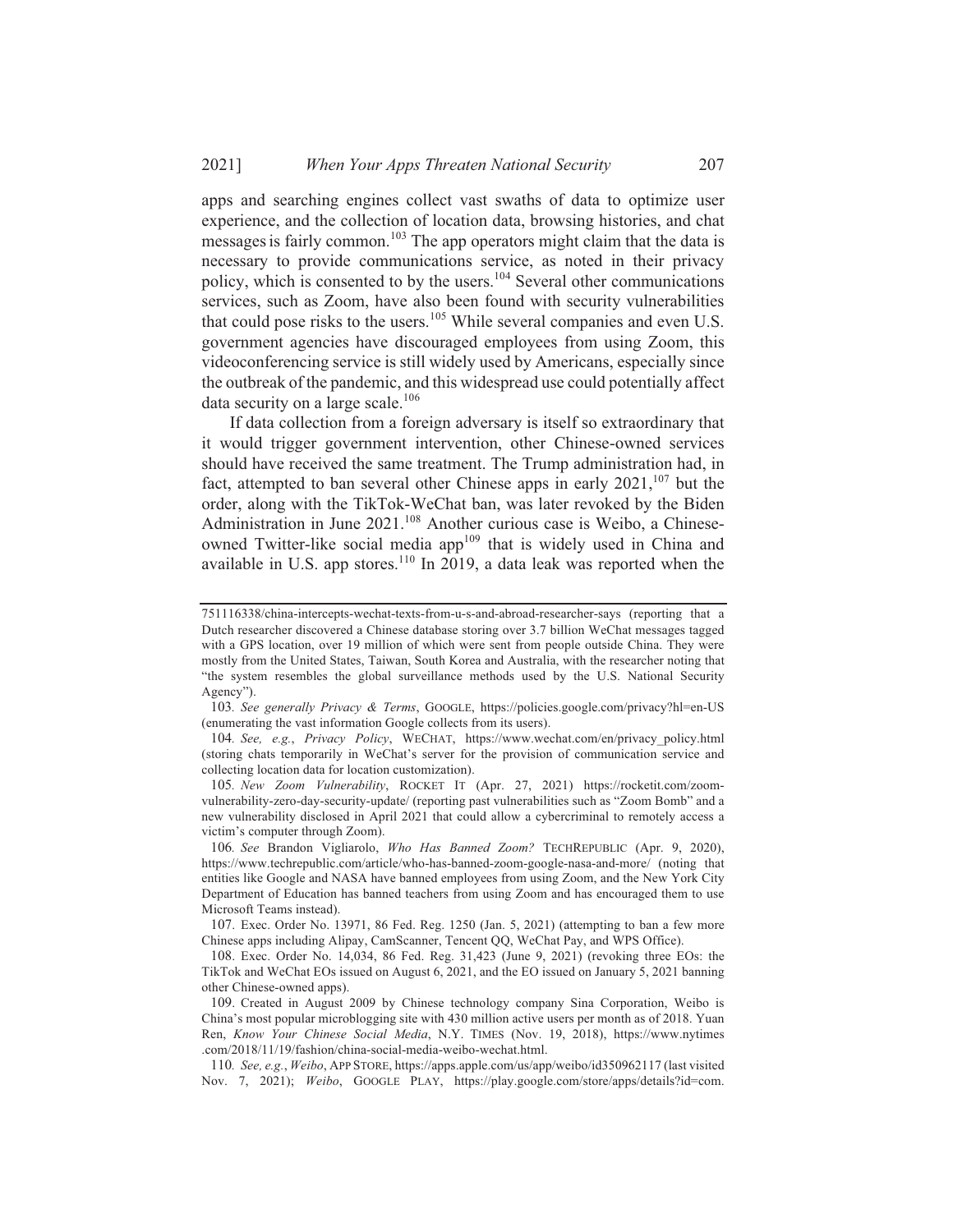apps and searching engines collect vast swaths of data to optimize user experience, and the collection of location data, browsing histories, and chat messages is fairly common.<sup>103</sup> The app operators might claim that the data is necessary to provide communications service, as noted in their privacy policy, which is consented to by the users.<sup>104</sup> Several other communications services, such as Zoom, have also been found with security vulnerabilities that could pose risks to the users.<sup>105</sup> While several companies and even U.S. government agencies have discouraged employees from using Zoom, this videoconferencing service is still widely used by Americans, especially since the outbreak of the pandemic, and this widespread use could potentially affect data security on a large scale. $106$ 

If data collection from a foreign adversary is itself so extraordinary that it would trigger government intervention, other Chinese-owned services should have received the same treatment. The Trump administration had, in fact, attempted to ban several other Chinese apps in early 2021, <sup>107</sup> but the order, along with the TikTok-WeChat ban, was later revoked by the Biden Administration in June 2021.<sup>108</sup> Another curious case is Weibo, a Chineseowned Twitter-like social media app<sup>109</sup> that is widely used in China and available in U.S. app stores.<sup>110</sup> In 2019, a data leak was reported when the

103. See generally Privacy & Terms, GOOGLE, https://policies.google.com/privacy?hl=en-US (enumerating the vast information Google collects from its users).

104. See, e.g., Privacy Policy, WECHAT, https://www.wechat.com/en/privacy policy.html (storing chats temporarily in WeChat's server for the provision of communication service and collecting location data for location customization).

105. New Zoom Vulnerability, ROCKET IT (Apr. 27, 2021) https://rocketit.com/zoomvulnerability-zero-day-security-update/ (reporting past vulnerabilities such as "Zoom Bomb" and a new vulnerability disclosed in April 2021 that could allow a cybercriminal to remotely access a victim's computer through Zoom).

106. See Brandon Vigliarolo, Who Has Banned Zoom? TECHREPUBLIC (Apr. 9, 2020), https://www.techrepublic.com/article/who-has-banned-zoom-google-nasa-and-more/ (noting that entities like Google and NASA have banned employees from using Zoom, and the New York City Department of Education has banned teachers from using Zoom and has encouraged them to use Microsoft Teams instead).

107. Exec. Order No. 13971, 86 Fed. Reg. 1250 (Jan. 5, 2021) (attempting to ban a few more Chinese apps including Alipay, CamScanner, Tencent QQ, WeChat Pay, and WPS Office).

108. Exec. Order No. 14,034, 86 Fed. Reg. 31,423 (June 9, 2021) (revoking three EOs: the TikTok and WeChat EOs issued on August 6, 2021, and the EO issued on January 5, 2021 banning other Chinese-owned apps).

109. Created in August 2009 by Chinese technology company Sina Corporation, Weibo is China's most popular microblogging site with 430 million active users per month as of 2018. Yuan Ren, Know Your Chinese Social Media, N.Y. TIMES (Nov. 19, 2018), https://www.nytimes .com/2018/11/19/fashion/china-social-media-weibo-wechat.html.

110. See, e.g., Weibo, APP STORE, https://apps.apple.com/us/app/weibo/id350962117 (last visited Nov. 7, 2021); Weibo, GOOGLE PLAY, https://play.google.com/store/apps/details?id=com.

<sup>751116338/</sup>china-intercepts-wechat-texts-from-u-s-and-abroad-researcher-says (reporting that a Dutch researcher discovered a Chinese database storing over 3.7 billion WeChat messages tagged with a GPS location, over 19 million of which were sent from people outside China. They were mostly from the United States, Taiwan, South Korea and Australia, with the researcher noting that "the system resembles the global surveillance methods used by the U.S. National Security Agency").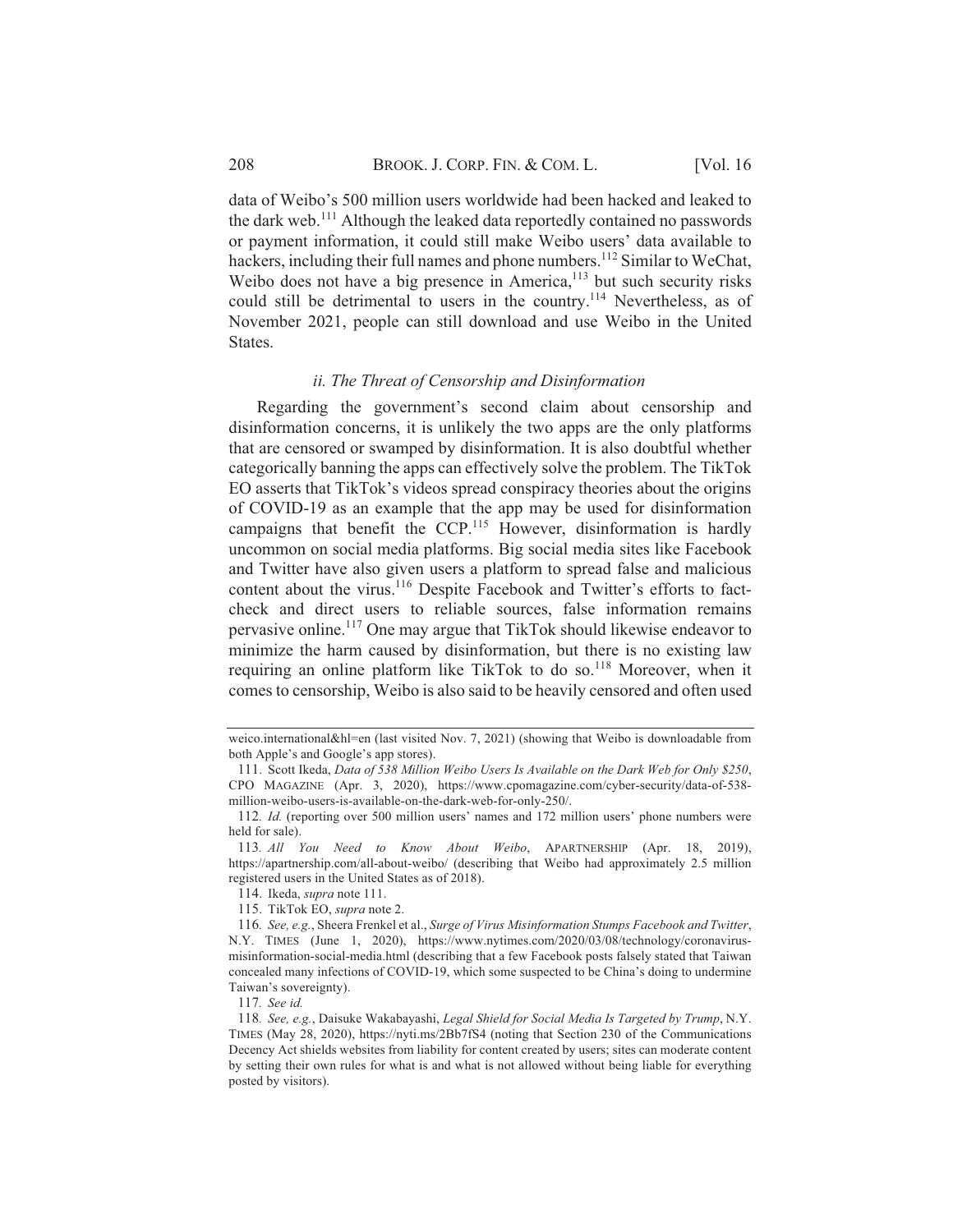data of Weibo's 500 million users worldwide had been hacked and leaked to the dark web.<sup>111</sup> Although the leaked data reportedly contained no passwords or payment information, it could still make Weibo users' data available to hackers, including their full names and phone numbers.<sup>112</sup> Similar to WeChat, Weibo does not have a big presence in America,<sup>113</sup> but such security risks could still be detrimental to users in the country.<sup>114</sup> Nevertheless, as of November 2021, people can still download and use Weibo in the United States.

### ii. The Threat of Censorship and Disinformation

Regarding the government's second claim about censorship and disinformation concerns, it is unlikely the two apps are the only platforms that are censored or swamped by disinformation. It is also doubtful whether categorically banning the apps can effectively solve the problem. The TikTok EO asserts that TikTok's videos spread conspiracy theories about the origins of COVID-19 as an example that the app may be used for disinformation campaigns that benefit the CCP.<sup>115</sup> However, disinformation is hardly uncommon on social media platforms. Big social media sites like Facebook and Twitter have also given users a platform to spread false and malicious content about the virus.<sup>116</sup> Despite Facebook and Twitter's efforts to factcheck and direct users to reliable sources, false information remains pervasive online.<sup>117</sup> One may argue that TikTok should likewise endeavor to minimize the harm caused by disinformation, but there is no existing law requiring an online platform like TikTok to do so.<sup>118</sup> Moreover, when it comes to censorship, Weibo is also said to be heavily censored and often used

115. TikTok EO, supra note 2.

weico.international&hl=en (last visited Nov. 7, 2021) (showing that Weibo is downloadable from both Apple's and Google's app stores).

<sup>111.</sup> Scott Ikeda, Data of 538 Million Weibo Users Is Available on the Dark Web for Only \$250, CPO MAGAZINE (Apr. 3, 2020), https://www.cpomagazine.com/cyber-security/data-of-538million-weibo-users-is-available-on-the-dark-web-for-only-250/.

<sup>112.</sup> *Id.* (reporting over 500 million users' names and 172 million users' phone numbers were held for sale).

<sup>113.</sup> All You Need to Know About Weibo, APARTNERSHIP (Apr. 18, 2019), https://apartnership.com/all-about-weibo/ (describing that Weibo had approximately 2.5 million registered users in the United States as of 2018).

<sup>114.</sup> Ikeda, *supra* note 111.

<sup>116.</sup> See, e.g., Sheera Frenkel et al., Surge of Virus Misinformation Stumps Facebook and Twitter, N.Y. TIMES (June 1, 2020), https://www.nytimes.com/2020/03/08/technology/coronavirusmisinformation-social-media.html (describing that a few Facebook posts falsely stated that Taiwan concealed many infections of COVID-19, which some suspected to be China's doing to undermine Taiwan's sovereignty).

<sup>117.</sup> See id.

<sup>118.</sup> See, e.g., Daisuke Wakabayashi, Legal Shield for Social Media Is Targeted by Trump, N.Y. TIMES (May 28, 2020), https://nyti.ms/2Bb7fS4 (noting that Section 230 of the Communications Decency Act shields websites from liability for content created by users; sites can moderate content by setting their own rules for what is and what is not allowed without being liable for everything posted by visitors).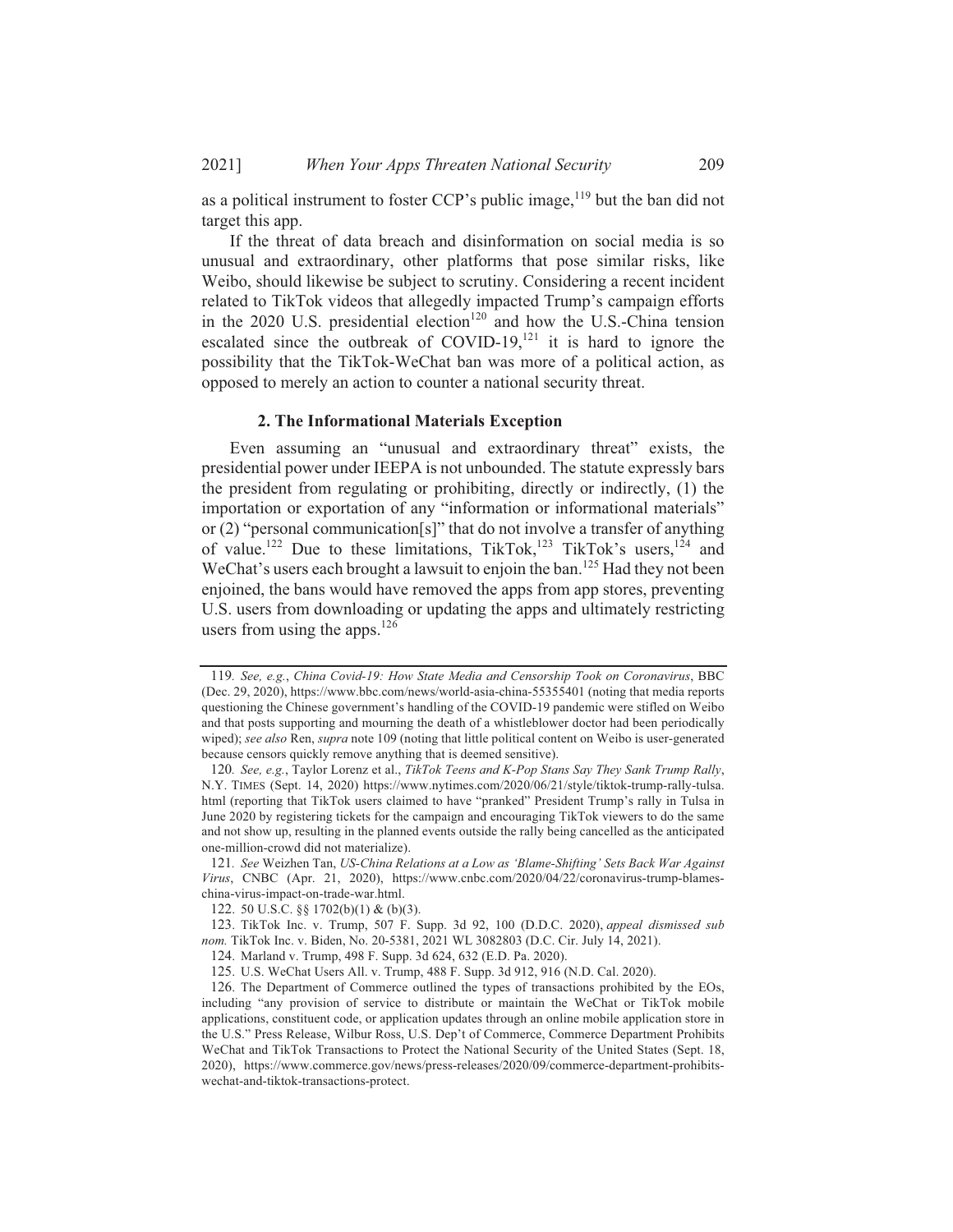as a political instrument to foster CCP's public image, <sup>119</sup> but the ban did not target this app.

If the threat of data breach and disinformation on social media is so unusual and extraordinary, other platforms that pose similar risks, like Weibo, should likewise be subject to scrutiny. Considering a recent incident related to TikTok videos that allegedly impacted Trump's campaign efforts in the 2020 U.S. presidential election<sup>120</sup> and how the U.S.-China tension escalated since the outbreak of COVID-19,<sup>121</sup> it is hard to ignore the possibility that the TikTok-WeChat ban was more of a political action, as opposed to merely an action to counter a national security threat.

### 2. The Informational Materials Exception

Even assuming an "unusual and extraordinary threat" exists, the presidential power under IEEPA is not unbounded. The statute expressly bars the president from regulating or prohibiting, directly or indirectly, (1) the importation or exportation of any "information or informational materials" or  $(2)$  "personal communication[s]" that do not involve a transfer of anything of value.<sup>122</sup> Due to these limitations, TikTok,<sup>123</sup> TikTok's users,<sup>124</sup> and WeChat's users each brought a lawsuit to enjoin the ban.<sup>125</sup> Had they not been enjoined, the bans would have removed the apps from app stores, preventing U.S. users from downloading or updating the apps and ultimately restricting users from using the apps.  $126$ 

<sup>119.</sup> See, e.g., China Covid-19: How State Media and Censorship Took on Coronavirus, BBC (Dec. 29, 2020), https://www.bbc.com/news/world-asia-china-55355401 (noting that media reports questioning the Chinese government's handling of the COVID-19 pandemic were stifled on Weibo and that posts supporting and mourning the death of a whistleblower doctor had been periodically wiped); see also Ren, supra note 109 (noting that little political content on Weibo is user-generated because censors quickly remove anything that is deemed sensitive).

<sup>120.</sup> See, e.g., Taylor Lorenz et al., TikTok Teens and K-Pop Stans Say They Sank Trump Rally, N.Y. TIMES (Sept. 14, 2020) https://www.nytimes.com/2020/06/21/style/tiktok-trump-rally-tulsa. html (reporting that TikTok users claimed to have "pranked" President Trump's rally in Tulsa in June 2020 by registering tickets for the campaign and encouraging TikTok viewers to do the same and not show up, resulting in the planned events outside the rally being cancelled as the anticipated one-million-crowd did not materialize).

<sup>121.</sup> See Weizhen Tan, US-China Relations at a Low as 'Blame-Shifting' Sets Back War Against Virus, CNBC (Apr. 21, 2020), https://www.cnbc.com/2020/04/22/coronavirus-trump-blameschina-virus-impact-on-trade-war.html.

<sup>122. 50</sup> U.S.C. §§ 1702(b)(1) & (b)(3).

<sup>123.</sup> TikTok Inc. v. Trump, 507 F. Supp. 3d 92, 100 (D.D.C. 2020), appeal dismissed sub nom. TikTok Inc. v. Biden, No. 20-5381, 2021 WL 3082803 (D.C. Cir. July 14, 2021).

<sup>124.</sup> Marland v. Trump, 498 F. Supp. 3d 624, 632 (E.D. Pa. 2020).

<sup>125.</sup> U.S. WeChat Users All. v. Trump, 488 F. Supp. 3d 912, 916 (N.D. Cal. 2020).

<sup>126.</sup> The Department of Commerce outlined the types of transactions prohibited by the EOs, including "any provision of service to distribute or maintain the WeChat or TikTok mobile applications, constituent code, or application updates through an online mobile application store in the U.S." Press Release, Wilbur Ross, U.S. Dep't of Commerce, Commerce Department Prohibits WeChat and TikTok Transactions to Protect the National Security of the United States (Sept. 18, 2020), https://www.commerce.gov/news/press-releases/2020/09/commerce-department-prohibitswechat-and-tiktok-transactions-protect.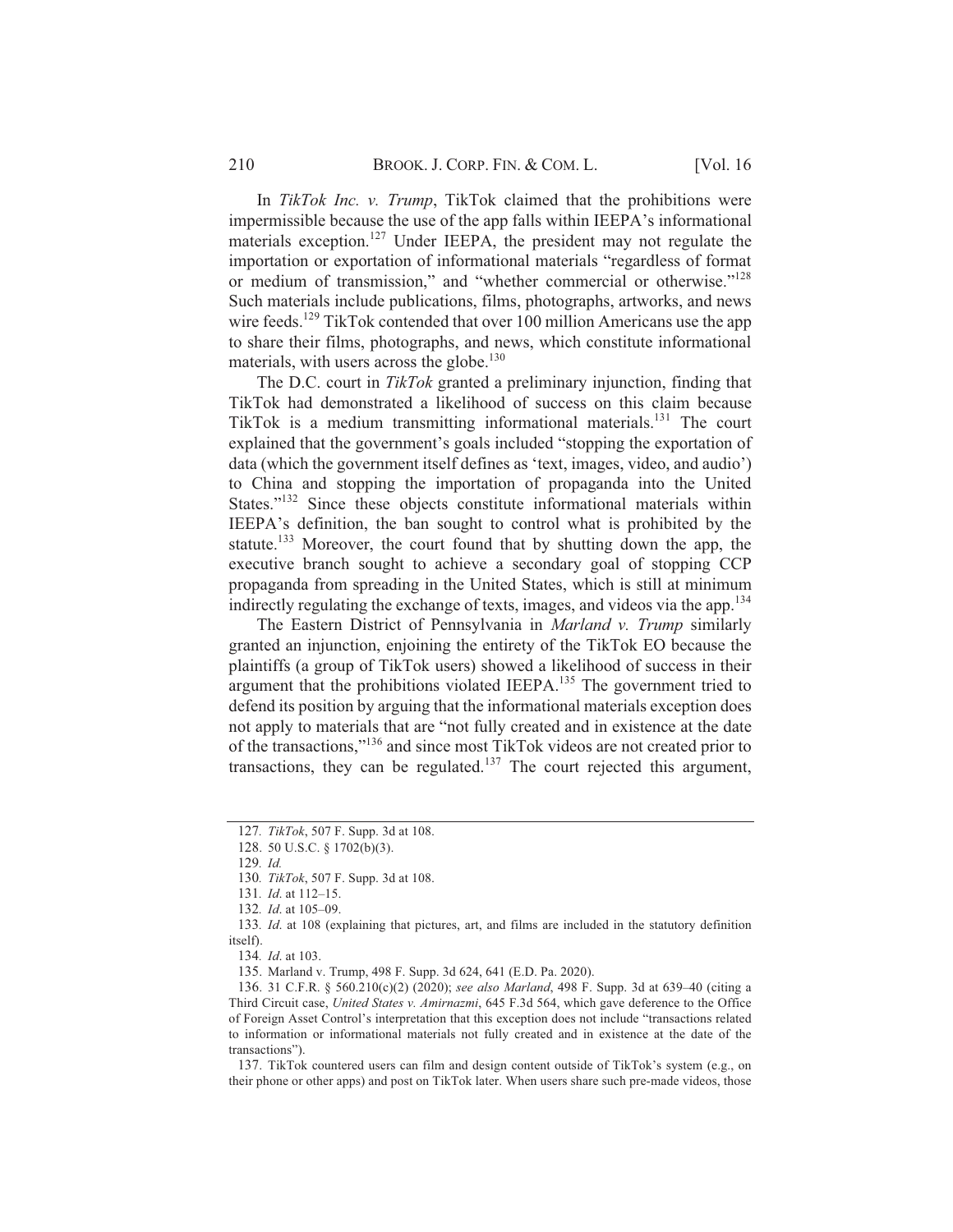In TikTok Inc. v. Trump, TikTok claimed that the prohibitions were impermissible because the use of the app falls within IEEPA's informational materials exception.<sup>127</sup> Under IEEPA, the president may not regulate the importation or exportation of informational materials "regardless of format or medium of transmission," and "whether commercial or otherwise."<sup>128</sup> Such materials include publications, films, photographs, artworks, and news wire feeds.<sup>129</sup> TikTok contended that over 100 million Americans use the app to share their films, photographs, and news, which constitute informational materials, with users across the globe.<sup>130</sup>

The D.C. court in TikTok granted a preliminary injunction, finding that TikTok had demonstrated a likelihood of success on this claim because TikTok is a medium transmitting informational materials.<sup>131</sup> The court explained that the government's goals included "stopping the exportation of data (which the government itself defines as 'text, images, video, and audio') to China and stopping the importation of propaganda into the United States."<sup>132</sup> Since these objects constitute informational materials within IEEPA's definition, the ban sought to control what is prohibited by the statute.<sup>133</sup> Moreover, the court found that by shutting down the app, the executive branch sought to achieve a secondary goal of stopping CCP propaganda from spreading in the United States, which is still at minimum indirectly regulating the exchange of texts, images, and videos via the app.<sup>134</sup>

The Eastern District of Pennsylvania in Marland v. Trump similarly granted an injunction, enjoining the entirety of the TikTok EO because the plaintiffs (a group of TikTok users) showed a likelihood of success in their argument that the prohibitions violated IEEPA.<sup>135</sup> The government tried to defend its position by arguing that the informational materials exception does not apply to materials that are "not fully created and in existence at the date of the transactions,"<sup>136</sup> and since most TikTok videos are not created prior to transactions, they can be regulated.<sup>137</sup> The court rejected this argument,

135. Marland v. Trump, 498 F. Supp. 3d 624, 641 (E.D. Pa. 2020).

137. TikTok countered users can film and design content outside of TikTok's system (e.g., on their phone or other apps) and post on TikTok later. When users share such pre-made videos, those

<sup>127.</sup> TikTok, 507 F. Supp. 3d at 108.

<sup>128. 50</sup> U.S.C. § 1702(b)(3).

<sup>129.</sup> Id.

<sup>130.</sup> TikTok, 507 F. Supp. 3d at 108.

<sup>131.</sup> *Id.* at 112-15.

<sup>132.</sup> Id. at 105-09.

<sup>133.</sup> Id. at 108 (explaining that pictures, art, and films are included in the statutory definition itself).

<sup>134.</sup> Id. at 103.

<sup>136. 31</sup> C.F.R. § 560.210(c)(2) (2020); see also Marland, 498 F. Supp. 3d at 639-40 (citing a Third Circuit case, United States v. Amirnazmi, 645 F.3d 564, which gave deference to the Office of Foreign Asset Control's interpretation that this exception does not include "transactions related to information or informational materials not fully created and in existence at the date of the transactions").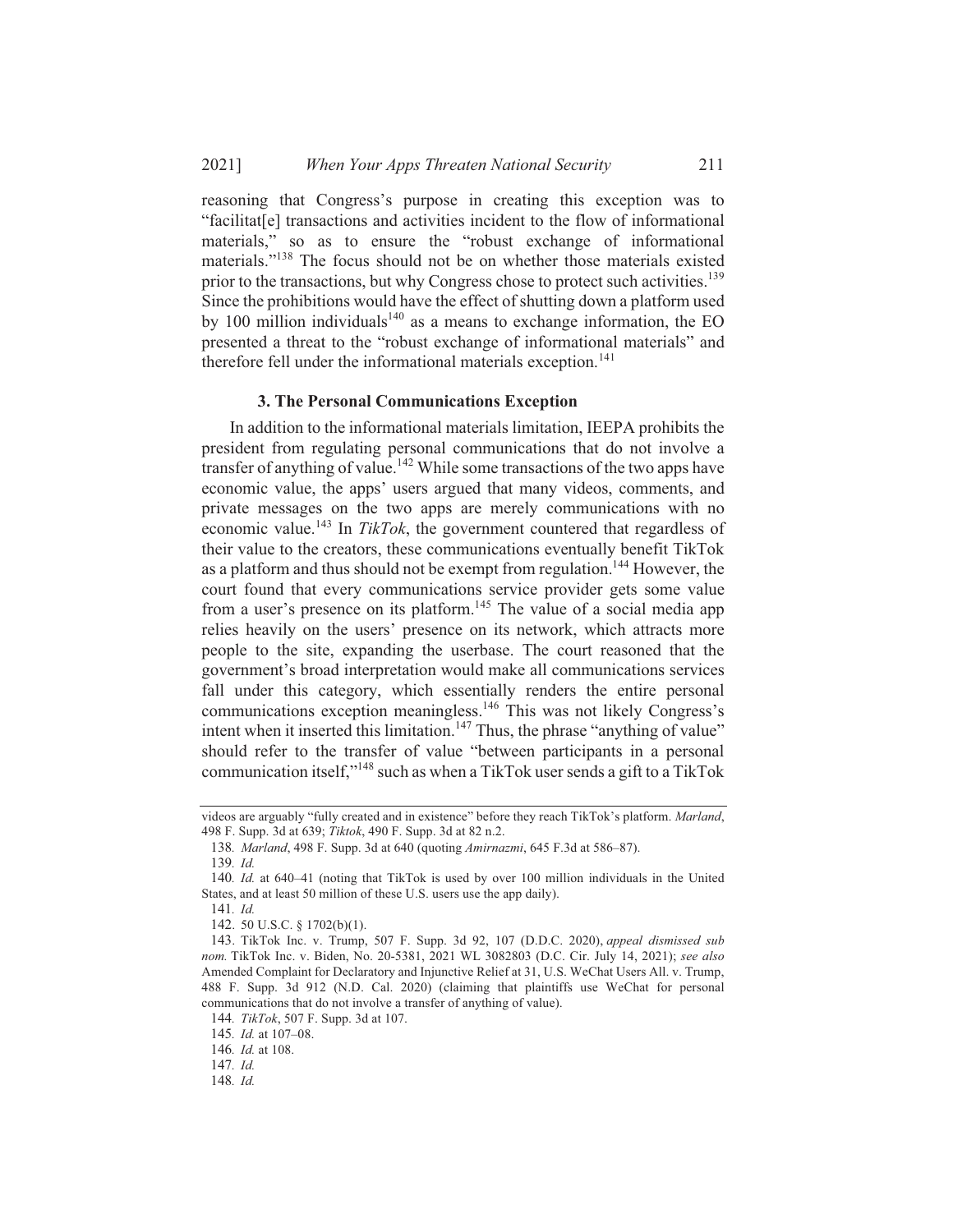reasoning that Congress's purpose in creating this exception was to "facilitat<sup>[e]</sup> transactions and activities incident to the flow of informational materials," so as to ensure the "robust exchange of informational materials."<sup>138</sup> The focus should not be on whether those materials existed prior to the transactions, but why Congress chose to protect such activities.<sup>139</sup> Since the prohibitions would have the effect of shutting down a platform used by 100 million individuals<sup>140</sup> as a means to exchange information, the EO presented a threat to the "robust exchange of informational materials" and therefore fell under the informational materials exception.<sup>141</sup>

### 3. The Personal Communications Exception

In addition to the informational materials limitation, IEEPA prohibits the president from regulating personal communications that do not involve a transfer of anything of value.<sup>142</sup> While some transactions of the two apps have economic value, the apps' users argued that many videos, comments, and private messages on the two apps are merely communications with no economic value.<sup>143</sup> In TikTok, the government countered that regardless of their value to the creators, these communications eventually benefit TikTok as a platform and thus should not be exempt from regulation.<sup>144</sup> However, the court found that every communications service provider gets some value from a user's presence on its platform.<sup>145</sup> The value of a social media app relies heavily on the users' presence on its network, which attracts more people to the site, expanding the userbase. The court reasoned that the government's broad interpretation would make all communications services fall under this category, which essentially renders the entire personal communications exception meaningless.<sup>146</sup> This was not likely Congress's intent when it inserted this limitation.<sup>147</sup> Thus, the phrase "anything of value" should refer to the transfer of value "between participants in a personal communication itself,"<sup>148</sup> such as when a TikTok user sends a gift to a TikTok

videos are arguably "fully created and in existence" before they reach TikTok's platform. Marland, 498 F. Supp. 3d at 639; Tiktok, 490 F. Supp. 3d at 82 n.2.

<sup>138.</sup> Marland, 498 F. Supp. 3d at 640 (quoting Amirnazmi, 645 F.3d at 586-87).

<sup>139.</sup> Id.

<sup>140.</sup> Id. at 640–41 (noting that TikTok is used by over 100 million individuals in the United States, and at least 50 million of these U.S. users use the app daily).

<sup>141.</sup> Id.

<sup>142. 50</sup> U.S.C. § 1702(b)(1).

<sup>143.</sup> TikTok Inc. v. Trump, 507 F. Supp. 3d 92, 107 (D.D.C. 2020), appeal dismissed sub nom. TikTok Inc. v. Biden, No. 20-5381, 2021 WL 3082803 (D.C. Cir. July 14, 2021); see also Amended Complaint for Declaratory and Injunctive Relief at 31, U.S. WeChat Users All. v. Trump, 488 F. Supp. 3d 912 (N.D. Cal. 2020) (claiming that plaintiffs use WeChat for personal communications that do not involve a transfer of anything of value).

<sup>144.</sup> TikTok, 507 F. Supp. 3d at 107.

<sup>145.</sup> Id. at 107-08.

<sup>146.</sup>  $Id$  at 108.

 $147.$  *Id.* 

<sup>148.</sup> Id.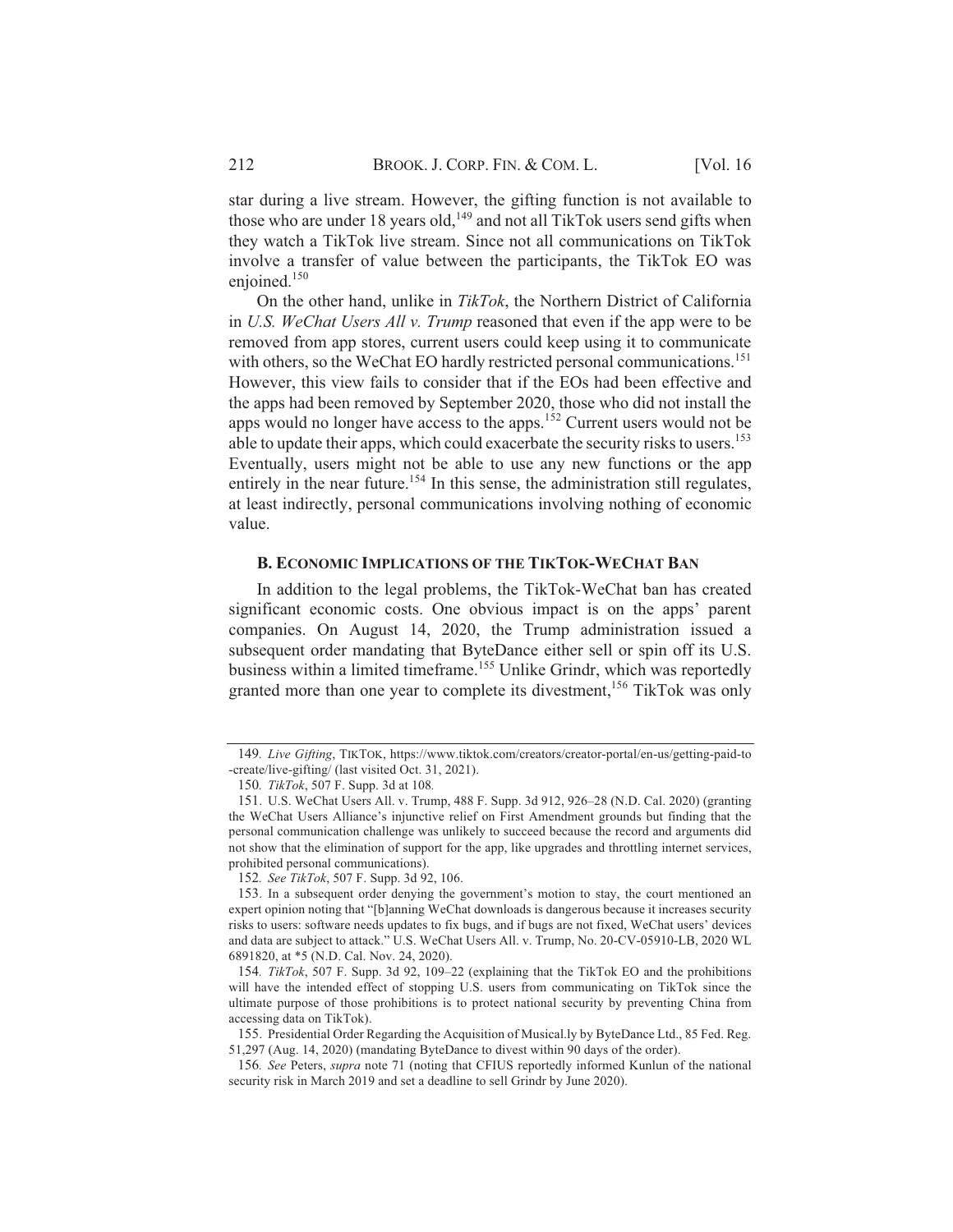star during a live stream. However, the gifting function is not available to those who are under 18 years old,<sup>149</sup> and not all TikTok users send gifts when they watch a TikTok live stream. Since not all communications on TikTok involve a transfer of value between the participants, the TikTok EO was enjoined. $150$ 

On the other hand, unlike in TikTok, the Northern District of California in U.S. WeChat Users All v. Trump reasoned that even if the app were to be removed from app stores, current users could keep using it to communicate with others, so the WeChat EO hardly restricted personal communications.<sup>151</sup> However, this view fails to consider that if the EOs had been effective and the apps had been removed by September 2020, those who did not install the apps would no longer have access to the apps.<sup>152</sup> Current users would not be able to update their apps, which could exacerbate the security risks to users.<sup>153</sup> Eventually, users might not be able to use any new functions or the app entirely in the near future.<sup>154</sup> In this sense, the administration still regulates, at least indirectly, personal communications involving nothing of economic value.

### **B. ECONOMIC IMPLICATIONS OF THE TIKTOK-WECHAT BAN**

In addition to the legal problems, the TikTok-WeChat ban has created significant economic costs. One obvious impact is on the apps' parent companies. On August 14, 2020, the Trump administration issued a subsequent order mandating that ByteDance either sell or spin off its U.S. business within a limited timeframe.<sup>155</sup> Unlike Grindr, which was reportedly granted more than one year to complete its divestment,<sup>156</sup> TikTok was only

<sup>149.</sup> Live Gifting, TIKTOK, https://www.tiktok.com/creators/creator-portal/en-us/getting-paid-to -create/live-gifting/ (last visited Oct. 31, 2021).

<sup>150.</sup> TikTok, 507 F. Supp. 3d at 108.

<sup>151.</sup> U.S. WeChat Users All. v. Trump, 488 F. Supp. 3d 912, 926–28 (N.D. Cal. 2020) (granting the WeChat Users Alliance's injunctive relief on First Amendment grounds but finding that the personal communication challenge was unlikely to succeed because the record and arguments did not show that the elimination of support for the app, like upgrades and throttling internet services, prohibited personal communications).

<sup>152.</sup> See TikTok, 507 F. Supp. 3d 92, 106.

<sup>153.</sup> In a subsequent order denying the government's motion to stay, the court mentioned an expert opinion noting that "[b]anning WeChat downloads is dangerous because it increases security risks to users: software needs updates to fix bugs, and if bugs are not fixed, WeChat users' devices and data are subject to attack." U.S. WeChat Users All. v. Trump, No. 20-CV-05910-LB, 2020 WL 6891820, at \*5 (N.D. Cal. Nov. 24, 2020).

<sup>154.</sup> TikTok, 507 F. Supp. 3d 92, 109-22 (explaining that the TikTok EO and the prohibitions will have the intended effect of stopping U.S. users from communicating on TikTok since the ultimate purpose of those prohibitions is to protect national security by preventing China from accessing data on TikTok).

<sup>155.</sup> Presidential Order Regarding the Acquisition of Musical.ly by ByteDance Ltd., 85 Fed. Reg. 51,297 (Aug. 14, 2020) (mandating ByteDance to divest within 90 days of the order).

<sup>156.</sup> See Peters, supra note 71 (noting that CFIUS reportedly informed Kunlun of the national security risk in March 2019 and set a deadline to sell Grindr by June 2020).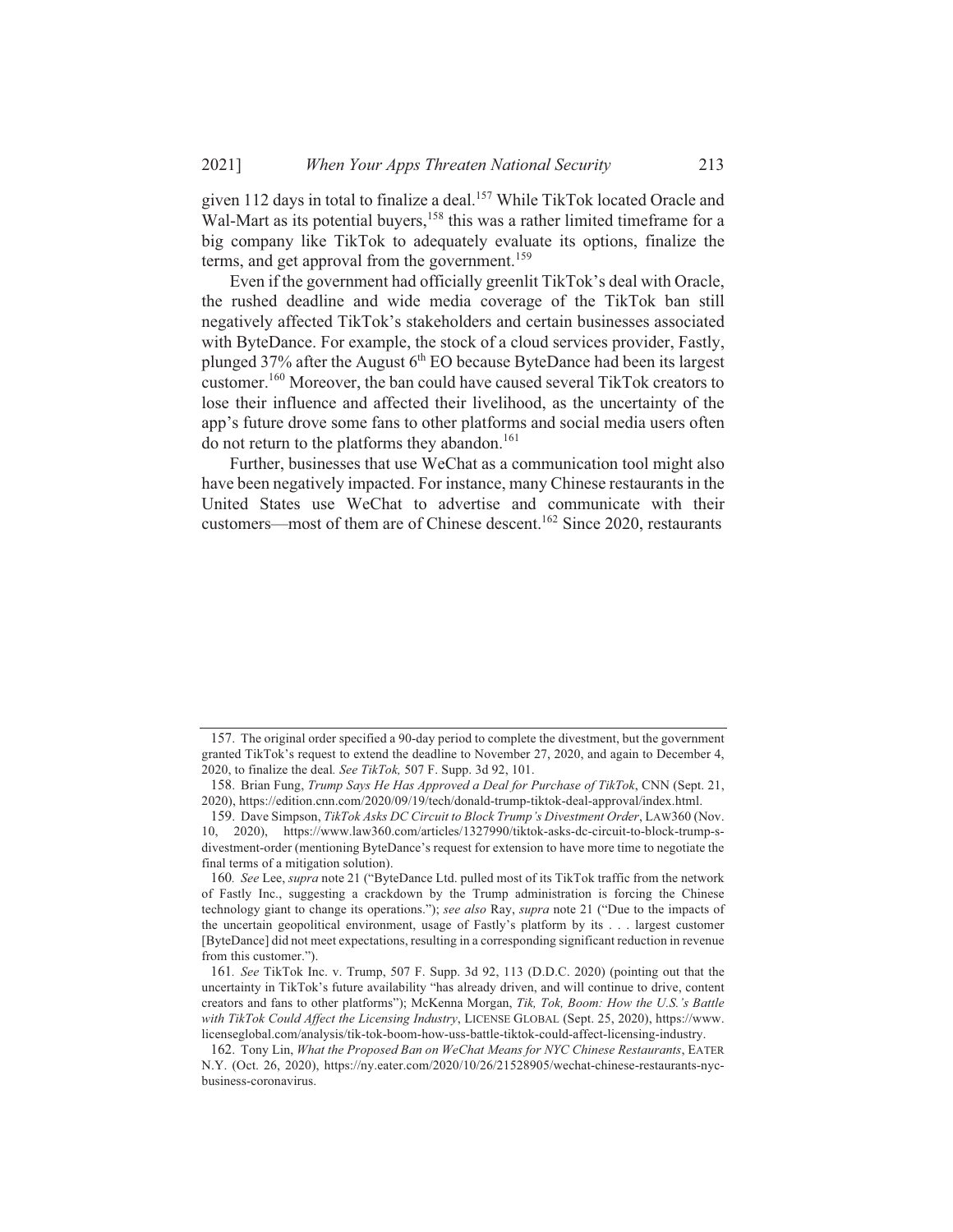given 112 days in total to finalize a deal.<sup>157</sup> While TikTok located Oracle and Wal-Mart as its potential buyers,<sup>158</sup> this was a rather limited timeframe for a big company like TikTok to adequately evaluate its options, finalize the terms, and get approval from the government.<sup>159</sup>

Even if the government had officially greenlit TikTok's deal with Oracle, the rushed deadline and wide media coverage of the TikTok ban still negatively affected TikTok's stakeholders and certain businesses associated with ByteDance. For example, the stock of a cloud services provider, Fastly, plunged  $37\%$  after the August  $6<sup>th</sup>$  EO because ByteDance had been its largest customer.<sup>160</sup> Moreover, the ban could have caused several TikTok creators to lose their influence and affected their livelihood, as the uncertainty of the app's future drove some fans to other platforms and social media users often do not return to the platforms they abandon.<sup>161</sup>

Further, businesses that use WeChat as a communication tool might also have been negatively impacted. For instance, many Chinese restaurants in the United States use WeChat to advertise and communicate with their customers—most of them are of Chinese descent.<sup>162</sup> Since 2020, restaurants

<sup>157.</sup> The original order specified a 90-day period to complete the divestment, but the government granted TikTok's request to extend the deadline to November 27, 2020, and again to December 4, 2020, to finalize the deal. See TikTok, 507 F. Supp. 3d 92, 101.

<sup>158.</sup> Brian Fung, Trump Says He Has Approved a Deal for Purchase of TikTok, CNN (Sept. 21, 2020), https://edition.cnn.com/2020/09/19/tech/donald-trump-tiktok-deal-approval/index.html.

<sup>159.</sup> Dave Simpson, TikTok Asks DC Circuit to Block Trump's Divestment Order, LAW360 (Nov. 10, 2020), https://www.law360.com/articles/1327990/tiktok-asks-dc-circuit-to-block-trump-sdivestment-order (mentioning ByteDance's request for extension to have more time to negotiate the final terms of a mitigation solution).

<sup>160.</sup> See Lee, supra note 21 ("ByteDance Ltd. pulled most of its TikTok traffic from the network of Fastly Inc., suggesting a crackdown by the Trump administration is forcing the Chinese technology giant to change its operations."); see also Ray, supra note 21 ("Due to the impacts of the uncertain geopolitical environment, usage of Fastly's platform by its . . . largest customer [ByteDance] did not meet expectations, resulting in a corresponding significant reduction in revenue from this customer.").

<sup>161.</sup> See TikTok Inc. v. Trump, 507 F. Supp. 3d 92, 113 (D.D.C. 2020) (pointing out that the uncertainty in TikTok's future availability "has already driven, and will continue to drive, content creators and fans to other platforms"); McKenna Morgan, Tik, Tok, Boom: How the U.S.'s Battle with TikTok Could Affect the Licensing Industry, LICENSE GLOBAL (Sept. 25, 2020), https://www. licenseglobal.com/analysis/tik-tok-boom-how-uss-battle-tiktok-could-affect-licensing-industry.

<sup>162.</sup> Tony Lin, What the Proposed Ban on WeChat Means for NYC Chinese Restaurants, EATER N.Y. (Oct. 26, 2020), https://ny.eater.com/2020/10/26/21528905/wechat-chinese-restaurants-nycbusiness-coronavirus.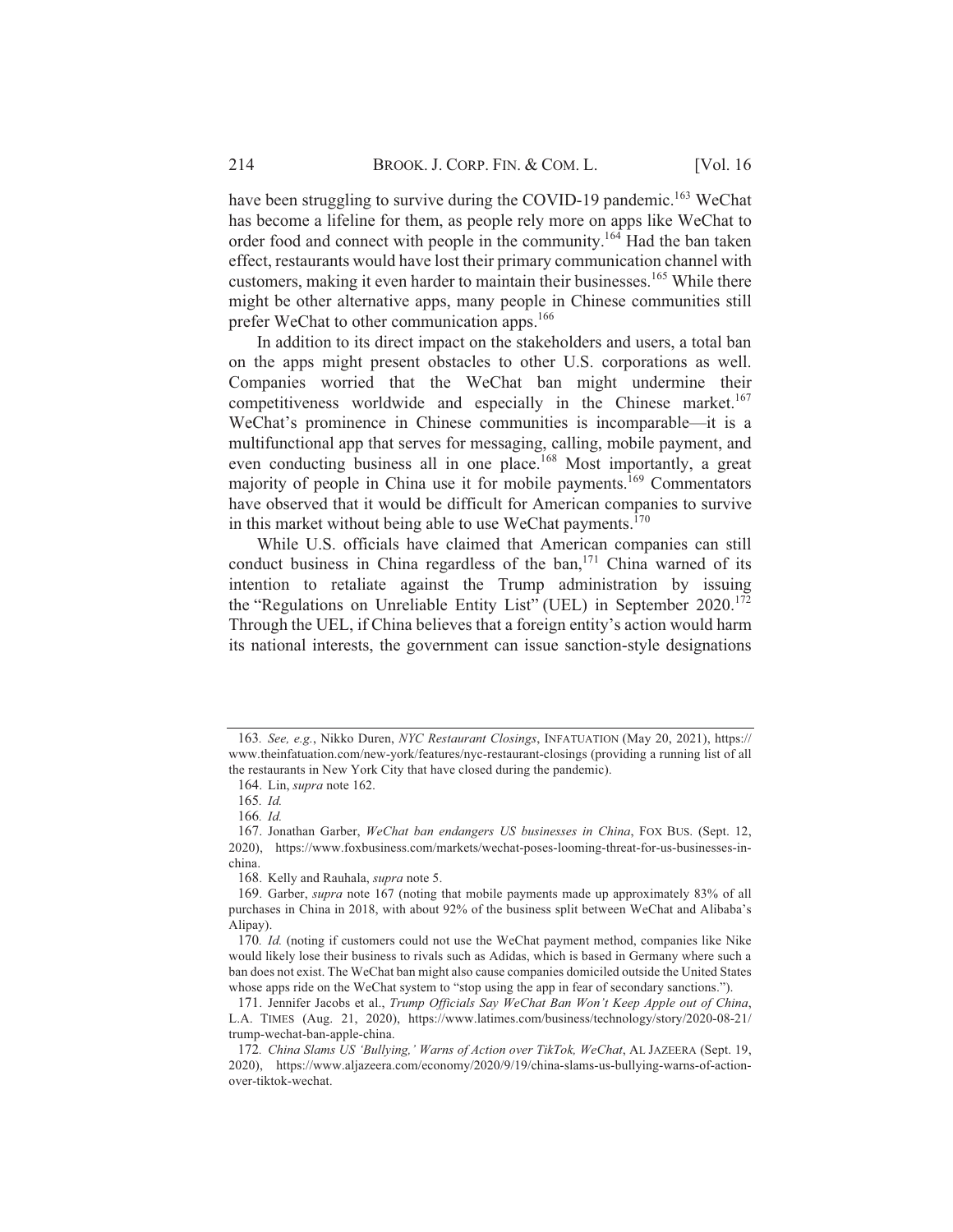have been struggling to survive during the COVID-19 pandemic.<sup>163</sup> WeChat has become a lifeline for them, as people rely more on apps like WeChat to order food and connect with people in the community.<sup>164</sup> Had the ban taken effect, restaurants would have lost their primary communication channel with customers, making it even harder to maintain their businesses.<sup>165</sup> While there might be other alternative apps, many people in Chinese communities still prefer WeChat to other communication apps.<sup>166</sup>

In addition to its direct impact on the stakeholders and users, a total ban on the apps might present obstacles to other U.S. corporations as well. Companies worried that the WeChat ban might undermine their competitiveness worldwide and especially in the Chinese market.<sup>167</sup> WeChat's prominence in Chinese communities is incomparable—it is a multifunctional app that serves for messaging, calling, mobile payment, and even conducting business all in one place.<sup>168</sup> Most importantly, a great majority of people in China use it for mobile payments.<sup>169</sup> Commentators have observed that it would be difficult for American companies to survive in this market without being able to use WeChat payments.<sup>170</sup>

While U.S. officials have claimed that American companies can still conduct business in China regardless of the ban,<sup>171</sup> China warned of its intention to retaliate against the Trump administration by issuing the "Regulations on Unreliable Entity List" (UEL) in September 2020.<sup>172</sup> Through the UEL, if China believes that a foreign entity's action would harm its national interests, the government can issue sanction-style designations

<sup>163.</sup> See, e.g., Nikko Duren, NYC Restaurant Closings, INFATUATION (May 20, 2021), https:// www.theinfatuation.com/new-york/features/nyc-restaurant-closings (providing a running list of all the restaurants in New York City that have closed during the pandemic).

<sup>164.</sup> Lin, supra note 162.

<sup>165.</sup> Id.

<sup>166.</sup>  $Id.$ 

<sup>167.</sup> Jonathan Garber, WeChat ban endangers US businesses in China, FOX BUS. (Sept. 12, 2020), https://www.foxbusiness.com/markets/wechat-poses-looming-threat-for-us-businesses-inchina.

<sup>168.</sup> Kelly and Rauhala, supra note 5.

<sup>169.</sup> Garber, *supra* note 167 (noting that mobile payments made up approximately 83% of all purchases in China in 2018, with about 92% of the business split between WeChat and Alibaba's Alipay).

<sup>170.</sup> Id. (noting if customers could not use the WeChat payment method, companies like Nike would likely lose their business to rivals such as Adidas, which is based in Germany where such a ban does not exist. The WeChat ban might also cause companies domiciled outside the United States whose apps ride on the WeChat system to "stop using the app in fear of secondary sanctions.").

<sup>171.</sup> Jennifer Jacobs et al., Trump Officials Say WeChat Ban Won't Keep Apple out of China, L.A. TIMES (Aug. 21, 2020), https://www.latimes.com/business/technology/story/2020-08-21/ trump-wechat-ban-apple-china.

<sup>172.</sup> China Slams US 'Bullying,' Warns of Action over TikTok, WeChat, AL JAZEERA (Sept. 19, 2020), https://www.aljazeera.com/economy/2020/9/19/china-slams-us-bullying-warns-of-actionover-tiktok-wechat.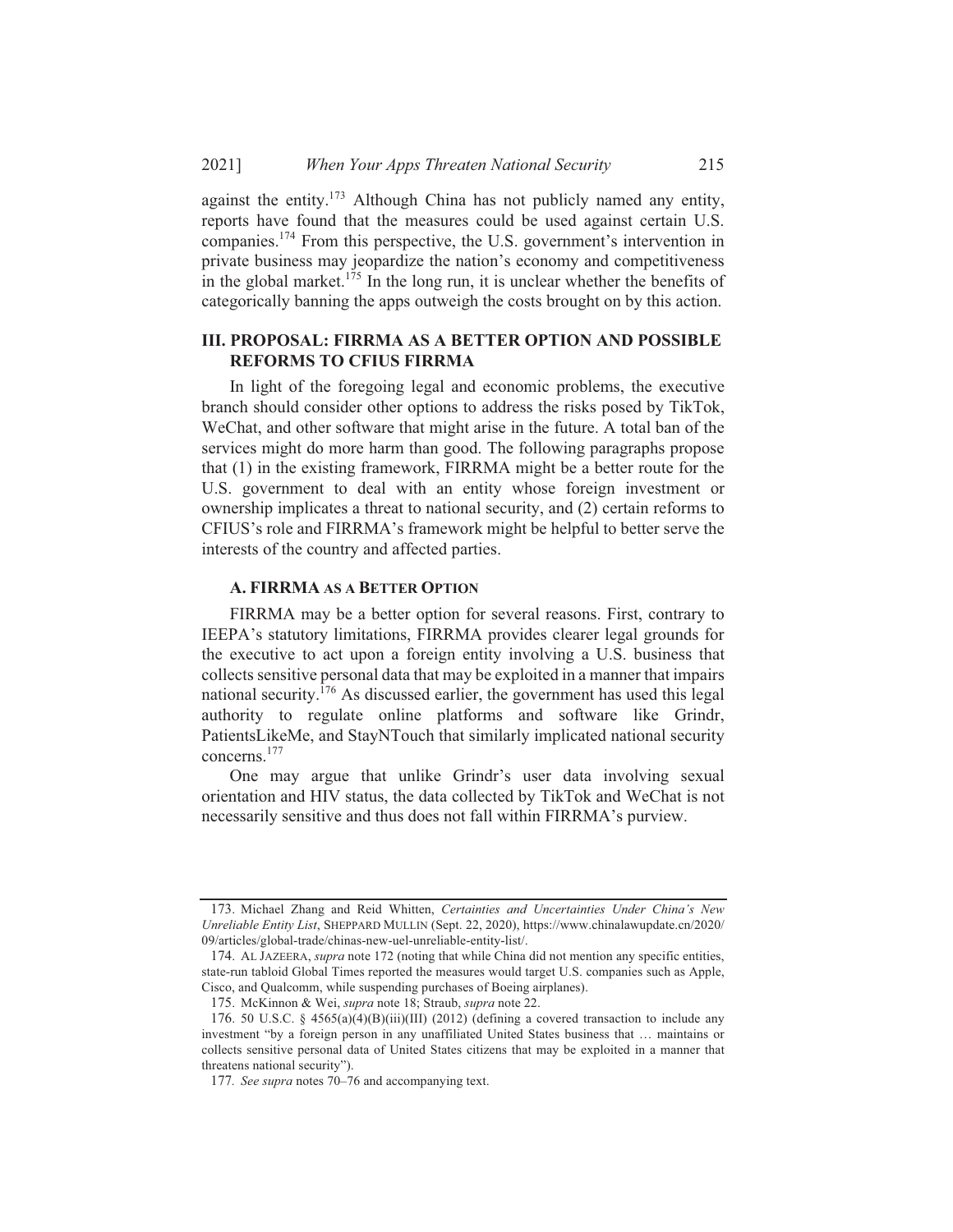against the entity.<sup>173</sup> Although China has not publicly named any entity, reports have found that the measures could be used against certain U.S. companies.<sup>174</sup> From this perspective, the U.S. government's intervention in private business may jeopardize the nation's economy and competitiveness in the global market.<sup>175</sup> In the long run, it is unclear whether the benefits of categorically banning the apps outweigh the costs brought on by this action.

### **III. PROPOSAL: FIRRMA AS A BETTER OPTION AND POSSIBLE REFORMS TO CFIUS FIRRMA**

In light of the foregoing legal and economic problems, the executive branch should consider other options to address the risks posed by TikTok, WeChat, and other software that might arise in the future. A total ban of the services might do more harm than good. The following paragraphs propose that (1) in the existing framework, FIRRMA might be a better route for the U.S. government to deal with an entity whose foreign investment or ownership implicates a threat to national security, and (2) certain reforms to CFIUS's role and FIRRMA's framework might be helpful to better serve the interests of the country and affected parties.

### A. FIRRMA AS A BETTER OPTION

FIRRMA may be a better option for several reasons. First, contrary to IEEPA's statutory limitations, FIRRMA provides clearer legal grounds for the executive to act upon a foreign entity involving a U.S. business that collects sensitive personal data that may be exploited in a manner that impairs national security.  $176$  As discussed earlier, the government has used this legal authority to regulate online platforms and software like Grindr, PatientsLikeMe, and StayNTouch that similarly implicated national security concerns. $177$ 

One may argue that unlike Grindr's user data involving sexual orientation and HIV status, the data collected by TikTok and WeChat is not necessarily sensitive and thus does not fall within FIRRMA's purview.

<sup>173.</sup> Michael Zhang and Reid Whitten, Certainties and Uncertainties Under China's New Unreliable Entity List, SHEPPARD MULLIN (Sept. 22, 2020), https://www.chinalawupdate.cn/2020/ 09/articles/global-trade/chinas-new-uel-unreliable-entity-list/.

<sup>174.</sup> AL JAZEERA, *supra* note 172 (noting that while China did not mention any specific entities, state-run tabloid Global Times reported the measures would target U.S. companies such as Apple, Cisco, and Qualcomm, while suspending purchases of Boeing airplanes).

<sup>175.</sup> McKinnon & Wei, supra note 18; Straub, supra note 22.

<sup>176. 50</sup> U.S.C. § 4565(a)(4)(B)(iii)(III) (2012) (defining a covered transaction to include any investment "by a foreign person in any unaffiliated United States business that ... maintains or collects sensitive personal data of United States citizens that may be exploited in a manner that threatens national security").

<sup>177.</sup> See supra notes 70–76 and accompanying text.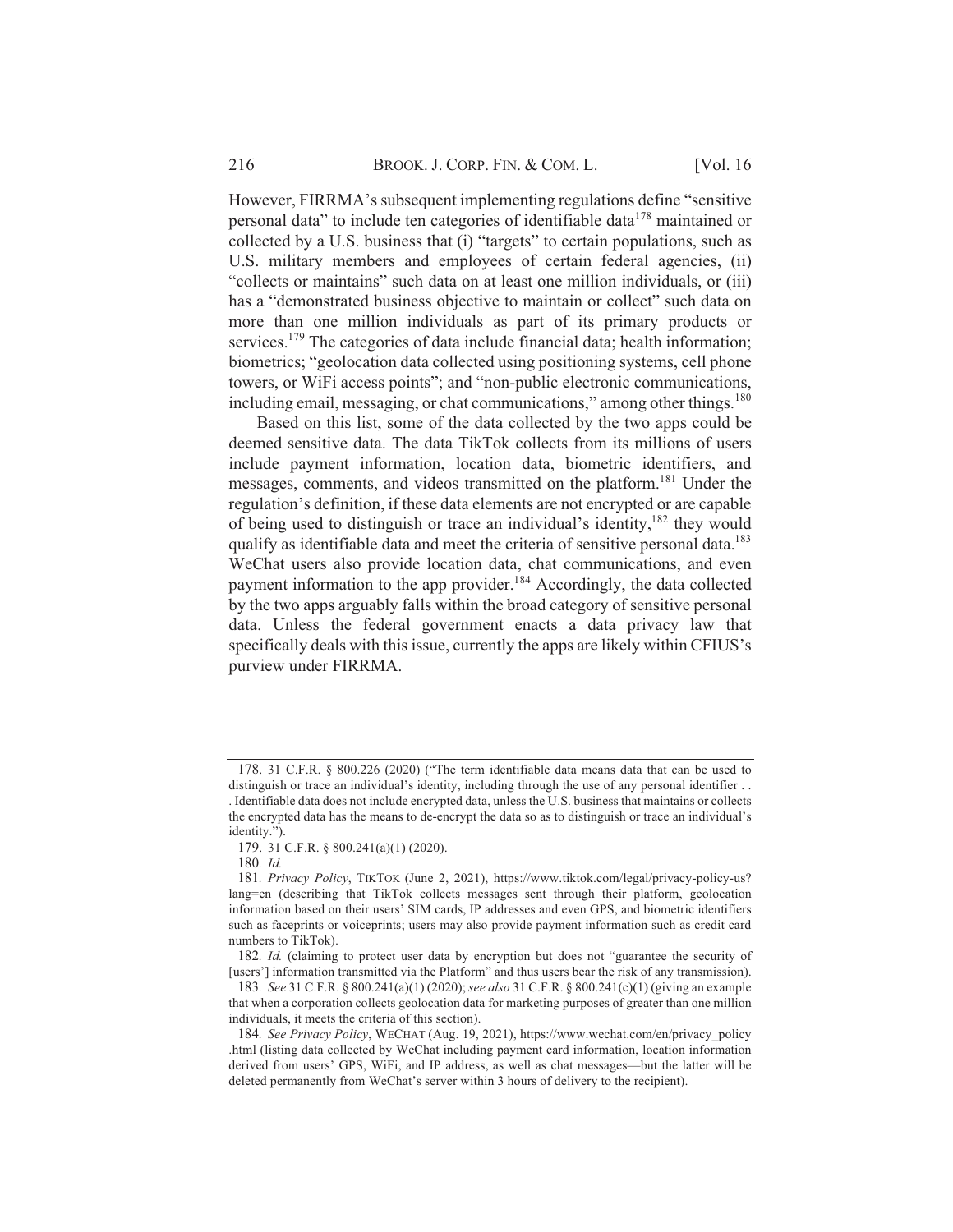However, FIRRMA's subsequent implementing regulations define "sensitive" personal data" to include ten categories of identifiable data<sup>178</sup> maintained or collected by a U.S. business that (i) "targets" to certain populations, such as U.S. military members and employees of certain federal agencies, (ii) "collects or maintains" such data on at least one million individuals, or (iii) has a "demonstrated business objective to maintain or collect" such data on more than one million individuals as part of its primary products or services.<sup>179</sup> The categories of data include financial data; health information; biometrics; "geolocation data collected using positioning systems, cell phone towers, or WiFi access points"; and "non-public electronic communications, including email, messaging, or chat communications," among other things.<sup>180</sup>

Based on this list, some of the data collected by the two apps could be deemed sensitive data. The data TikTok collects from its millions of users include payment information, location data, biometric identifiers, and messages, comments, and videos transmitted on the platform.<sup>181</sup> Under the regulation's definition, if these data elements are not encrypted or are capable of being used to distinguish or trace an individual's identity, <sup>182</sup> they would qualify as identifiable data and meet the criteria of sensitive personal data.<sup>183</sup> WeChat users also provide location data, chat communications, and even payment information to the app provider.<sup>184</sup> Accordingly, the data collected by the two apps arguably falls within the broad category of sensitive personal data. Unless the federal government enacts a data privacy law that specifically deals with this issue, currently the apps are likely within CFIUS's purview under FIRRMA.

<sup>178. 31</sup> C.F.R. § 800.226 (2020) ("The term identifiable data means data that can be used to distinguish or trace an individual's identity, including through the use of any personal identifier .. . Identifiable data does not include encrypted data, unless the U.S. business that maintains or collects the encrypted data has the means to de-encrypt the data so as to distinguish or trace an individual's identity.").

<sup>179. 31</sup> C.F.R. § 800.241(a)(1) (2020).

<sup>180.</sup> Id.

<sup>181.</sup> Privacy Policy, TIKTOK (June 2, 2021), https://www.tiktok.com/legal/privacy-policy-us? lang=en (describing that TikTok collects messages sent through their platform, geolocation information based on their users' SIM cards, IP addresses and even GPS, and biometric identifiers such as faceprints or voiceprints; users may also provide payment information such as credit card numbers to TikTok).

<sup>182.</sup> Id. (claiming to protect user data by encryption but does not "guarantee the security of [users'] information transmitted via the Platform" and thus users bear the risk of any transmission).

<sup>183.</sup> See 31 C.F.R. § 800.241(a)(1)(2020); see also 31 C.F.R. § 800.241(c)(1)(giving an example that when a corporation collects geolocation data for marketing purposes of greater than one million individuals, it meets the criteria of this section).

<sup>184.</sup> See Privacy Policy, WECHAT (Aug. 19, 2021), https://www.wechat.com/en/privacy policy .html (listing data collected by WeChat including payment card information, location information derived from users' GPS, WiFi, and IP address, as well as chat messages—but the latter will be deleted permanently from WeChat's server within 3 hours of delivery to the recipient).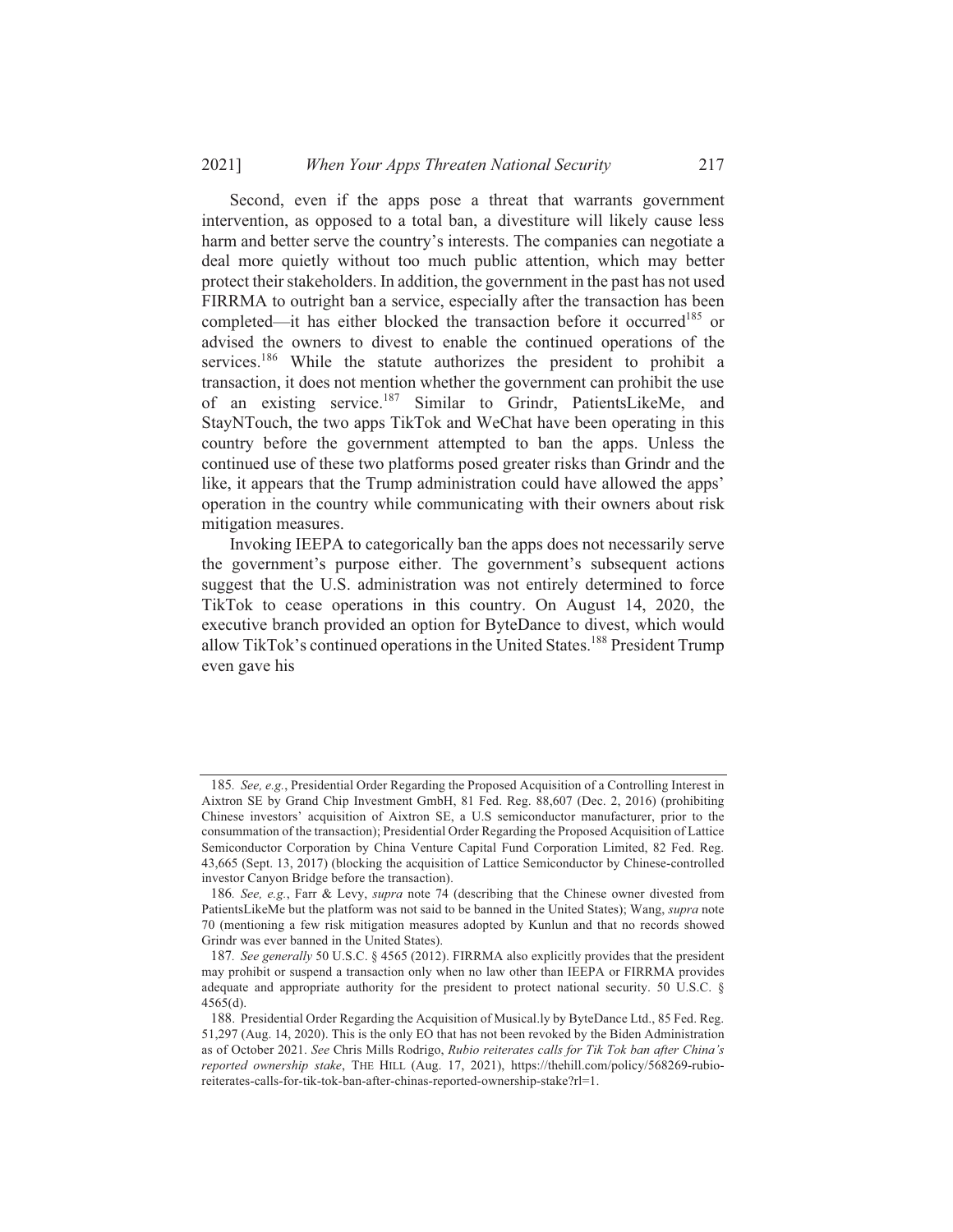#### 20211 When Your Apps Threaten National Security 217

Second, even if the apps pose a threat that warrants government intervention, as opposed to a total ban, a divestiture will likely cause less harm and better serve the country's interests. The companies can negotiate a deal more quietly without too much public attention, which may better protect their stakeholders. In addition, the government in the past has not used FIRRMA to outright ban a service, especially after the transaction has been completed—it has either blocked the transaction before it occurred<sup>185</sup> or advised the owners to divest to enable the continued operations of the services.<sup>186</sup> While the statute authorizes the president to prohibit a transaction, it does not mention whether the government can prohibit the use of an existing service.<sup>187</sup> Similar to Grindr, PatientsLikeMe, and StayNTouch, the two apps TikTok and WeChat have been operating in this country before the government attempted to ban the apps. Unless the continued use of these two platforms posed greater risks than Grindr and the like, it appears that the Trump administration could have allowed the apps' operation in the country while communicating with their owners about risk mitigation measures.

Invoking IEEPA to categorically ban the apps does not necessarily serve the government's purpose either. The government's subsequent actions suggest that the U.S. administration was not entirely determined to force TikTok to cease operations in this country. On August 14, 2020, the executive branch provided an option for ByteDance to divest, which would allow TikTok's continued operations in the United States.<sup>188</sup> President Trump even gave his

<sup>185.</sup> See, e.g., Presidential Order Regarding the Proposed Acquisition of a Controlling Interest in Aixtron SE by Grand Chip Investment GmbH, 81 Fed. Reg. 88,607 (Dec. 2, 2016) (prohibiting Chinese investors' acquisition of Aixtron SE, a U.S semiconductor manufacturer, prior to the consummation of the transaction); Presidential Order Regarding the Proposed Acquisition of Lattice Semiconductor Corporation by China Venture Capital Fund Corporation Limited, 82 Fed. Reg. 43,665 (Sept. 13, 2017) (blocking the acquisition of Lattice Semiconductor by Chinese-controlled investor Canyon Bridge before the transaction).

<sup>186.</sup> See, e.g., Farr & Levy, supra note 74 (describing that the Chinese owner divested from PatientsLikeMe but the platform was not said to be banned in the United States); Wang, supra note 70 (mentioning a few risk mitigation measures adopted by Kunlun and that no records showed Grindr was ever banned in the United States).

<sup>187.</sup> See generally 50 U.S.C. § 4565 (2012). FIRRMA also explicitly provides that the president may prohibit or suspend a transaction only when no law other than IEEPA or FIRRMA provides adequate and appropriate authority for the president to protect national security. 50 U.S.C. §  $4565(d)$ .

<sup>188.</sup> Presidential Order Regarding the Acquisition of Musical.ly by ByteDance Ltd., 85 Fed. Reg. 51,297 (Aug. 14, 2020). This is the only EO that has not been revoked by the Biden Administration as of October 2021. See Chris Mills Rodrigo, Rubio reiterates calls for Tik Tok ban after China's reported ownership stake, THE HILL (Aug. 17, 2021), https://thehill.com/policy/568269-rubioreiterates-calls-for-tik-tok-ban-after-chinas-reported-ownership-stake?rl=1.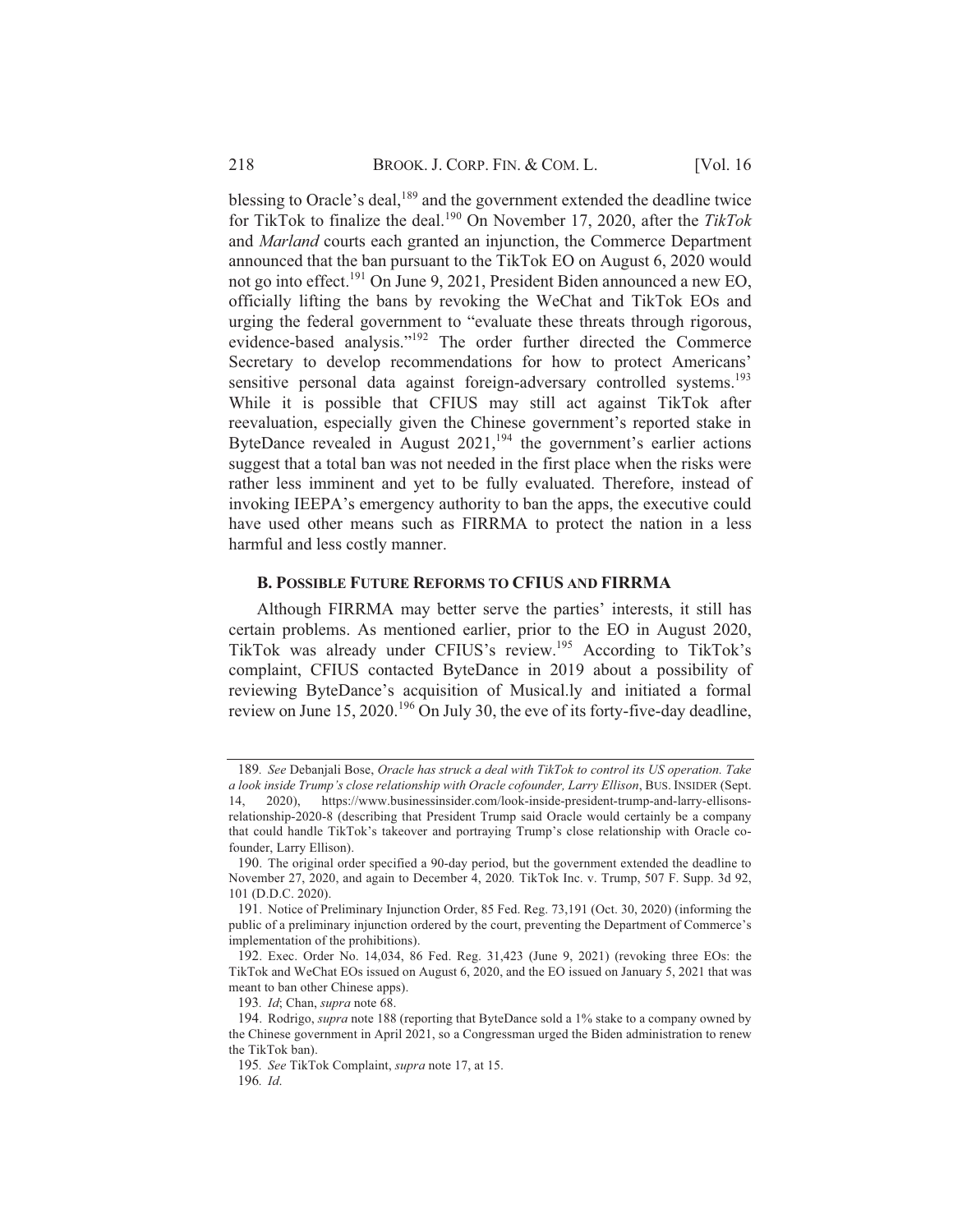blessing to Oracle's deal, <sup>189</sup> and the government extended the deadline twice for TikTok to finalize the deal.<sup>190</sup> On November 17, 2020, after the TikTok and *Marland* courts each granted an injunction, the Commerce Department announced that the ban pursuant to the TikTok EO on August 6, 2020 would not go into effect.<sup>191</sup> On June 9, 2021, President Biden announced a new EO, officially lifting the bans by revoking the WeChat and TikTok EOs and urging the federal government to "evaluate these threats through rigorous, evidence-based analysis."<sup>192</sup> The order further directed the Commerce Secretary to develop recommendations for how to protect Americans' sensitive personal data against foreign-adversary controlled systems.<sup>193</sup> While it is possible that CFIUS may still act against TikTok after reevaluation, especially given the Chinese government's reported stake in ByteDance revealed in August  $2021$ ,<sup>194</sup>, the government's earlier actions suggest that a total ban was not needed in the first place when the risks were rather less imminent and yet to be fully evaluated. Therefore, instead of invoking IEEPA's emergency authority to ban the apps, the executive could have used other means such as FIRRMA to protect the nation in a less harmful and less costly manner.

### **B. POSSIBLE FUTURE REFORMS TO CFIUS AND FIRRMA**

Although FIRRMA may better serve the parties' interests, it still has certain problems. As mentioned earlier, prior to the EO in August 2020, TikTok was already under CFIUS's review.<sup>195</sup> According to TikTok's complaint, CFIUS contacted ByteDance in 2019 about a possibility of reviewing ByteDance's acquisition of Musical.ly and initiated a formal review on June 15, 2020.<sup>196</sup> On July 30, the eve of its forty-five-day deadline,

<sup>189.</sup> See Debanjali Bose, Oracle has struck a deal with TikTok to control its US operation. Take a look inside Trump's close relationship with Oracle cofounder, Larry Ellison, BUS. INSIDER (Sept.  $2020$ https://www.businessinsider.com/look-inside-president-trump-and-larry-ellisonsrelationship-2020-8 (describing that President Trump said Oracle would certainly be a company that could handle TikTok's takeover and portraying Trump's close relationship with Oracle cofounder, Larry Ellison).

<sup>190.</sup> The original order specified a 90-day period, but the government extended the deadline to November 27, 2020, and again to December 4, 2020. TikTok Inc. v. Trump, 507 F. Supp. 3d 92, 101 (D.D.C. 2020).

<sup>191.</sup> Notice of Preliminary Injunction Order, 85 Fed. Reg. 73,191 (Oct. 30, 2020) (informing the public of a preliminary injunction ordered by the court, preventing the Department of Commerce's implementation of the prohibitions).

<sup>192.</sup> Exec. Order No. 14,034, 86 Fed. Reg. 31,423 (June 9, 2021) (revoking three EOs: the TikTok and WeChat EOs issued on August 6, 2020, and the EO issued on January 5, 2021 that was meant to ban other Chinese apps).

<sup>193.</sup> Id; Chan, supra note 68.

<sup>194.</sup> Rodrigo, *supra* note 188 (reporting that ByteDance sold a 1% stake to a company owned by the Chinese government in April 2021, so a Congressman urged the Biden administration to renew the TikTok ban).

<sup>195.</sup> See TikTok Complaint, supra note 17, at 15.

<sup>196.</sup> Id.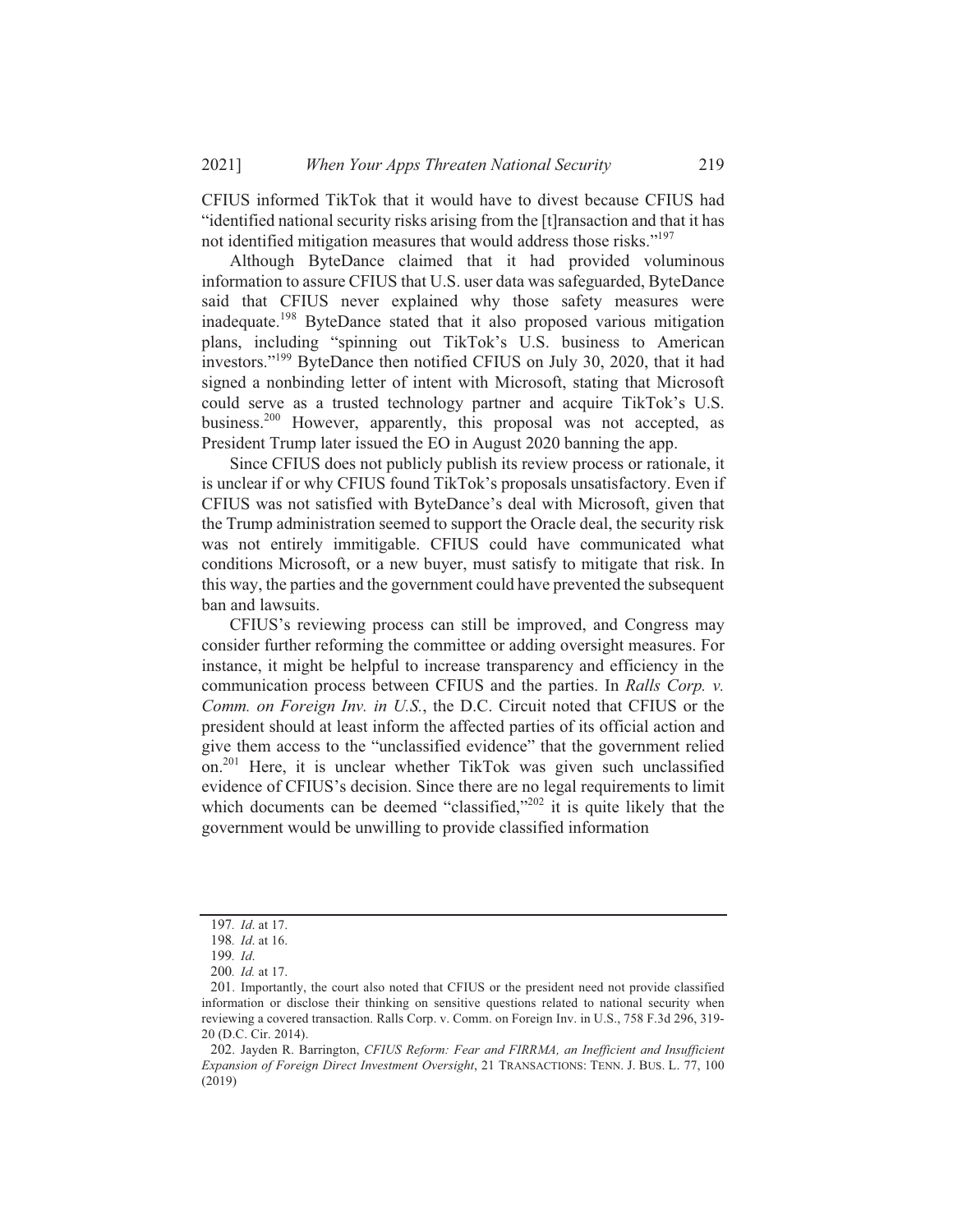CFIUS informed TikTok that it would have to divest because CFIUS had "identified national security risks arising from the [t] ransaction and that it has not identified mitigation measures that would address those risks."<sup>197</sup>

Although ByteDance claimed that it had provided voluminous information to assure CFIUS that U.S. user data was safeguarded, ByteDance said that CFIUS never explained why those safety measures were inadequate.<sup>198</sup> ByteDance stated that it also proposed various mitigation plans, including "spinning out TikTok's U.S. business to American investors."<sup>199</sup> ByteDance then notified CFIUS on July 30, 2020, that it had signed a nonbinding letter of intent with Microsoft, stating that Microsoft could serve as a trusted technology partner and acquire TikTok's U.S. business.<sup>200</sup> However, apparently, this proposal was not accepted, as President Trump later issued the EO in August 2020 banning the app.

Since CFIUS does not publicly publish its review process or rationale, it is unclear if or why CFIUS found TikTok's proposals unsatisfactory. Even if CFIUS was not satisfied with ByteDance's deal with Microsoft, given that the Trump administration seemed to support the Oracle deal, the security risk was not entirely immitigable. CFIUS could have communicated what conditions Microsoft, or a new buyer, must satisfy to mitigate that risk. In this way, the parties and the government could have prevented the subsequent ban and lawsuits.

CFIUS's reviewing process can still be improved, and Congress may consider further reforming the committee or adding oversight measures. For instance, it might be helpful to increase transparency and efficiency in the communication process between CFIUS and the parties. In Ralls Corp. v. Comm. on Foreign Inv. in U.S., the D.C. Circuit noted that CFIUS or the president should at least inform the affected parties of its official action and give them access to the "unclassified evidence" that the government relied on.<sup>201</sup> Here, it is unclear whether TikTok was given such unclassified evidence of CFIUS's decision. Since there are no legal requirements to limit which documents can be deemed "classified,"<sup>202</sup> it is quite likely that the government would be unwilling to provide classified information

<sup>197.</sup> Id. at 17.

<sup>198.</sup> Id. at 16.

<sup>199.</sup> Id.

<sup>200.</sup> Id. at 17.

<sup>201.</sup> Importantly, the court also noted that CFIUS or the president need not provide classified information or disclose their thinking on sensitive questions related to national security when reviewing a covered transaction. Ralls Corp. v. Comm. on Foreign Inv. in U.S., 758 F.3d 296, 319-20 (D.C. Cir. 2014).

<sup>202.</sup> Jayden R. Barrington, CFIUS Reform: Fear and FIRRMA, an Inefficient and Insufficient Expansion of Foreign Direct Investment Oversight, 21 TRANSACTIONS: TENN. J. BUS. L. 77, 100  $(2019)$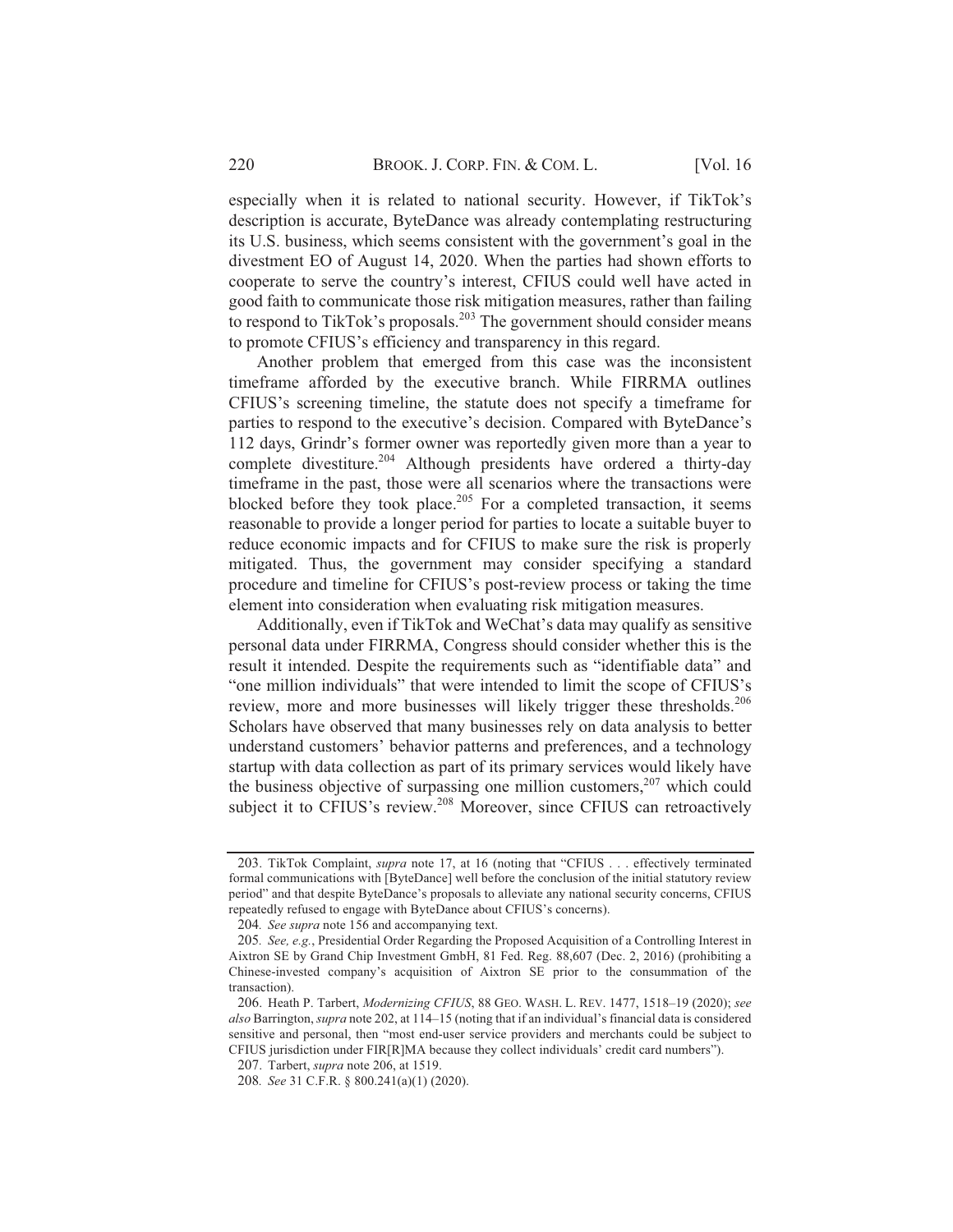especially when it is related to national security. However, if TikTok's description is accurate, ByteDance was already contemplating restructuring its U.S. business, which seems consistent with the government's goal in the divestment EO of August 14, 2020. When the parties had shown efforts to cooperate to serve the country's interest, CFIUS could well have acted in good faith to communicate those risk mitigation measures, rather than failing to respond to TikTok's proposals.<sup>203</sup> The government should consider means to promote CFIUS's efficiency and transparency in this regard.

Another problem that emerged from this case was the inconsistent timeframe afforded by the executive branch. While FIRRMA outlines CFIUS's screening timeline, the statute does not specify a timeframe for parties to respond to the executive's decision. Compared with ByteDance's 112 days, Grindr's former owner was reportedly given more than a year to complete divestiture.<sup>204</sup> Although presidents have ordered a thirty-day timeframe in the past, those were all scenarios where the transactions were blocked before they took place.<sup>205</sup> For a completed transaction, it seems reasonable to provide a longer period for parties to locate a suitable buyer to reduce economic impacts and for CFIUS to make sure the risk is properly mitigated. Thus, the government may consider specifying a standard procedure and timeline for CFIUS's post-review process or taking the time element into consideration when evaluating risk mitigation measures.

Additionally, even if TikTok and WeChat's data may qualify as sensitive personal data under FIRRMA, Congress should consider whether this is the result it intended. Despite the requirements such as "identifiable data" and "one million individuals" that were intended to limit the scope of CFIUS's review, more and more businesses will likely trigger these thresholds.<sup>206</sup> Scholars have observed that many businesses rely on data analysis to better understand customers' behavior patterns and preferences, and a technology startup with data collection as part of its primary services would likely have the business objective of surpassing one million customers,  $207$  which could subject it to CFIUS's review.<sup>208</sup> Moreover, since CFIUS can retroactively

<sup>203.</sup> TikTok Complaint, *supra* note 17, at 16 (noting that "CFIUS . . . effectively terminated formal communications with [ByteDance] well before the conclusion of the initial statutory review period" and that despite ByteDance's proposals to alleviate any national security concerns, CFIUS repeatedly refused to engage with ByteDance about CFIUS's concerns).

<sup>204.</sup> See supra note 156 and accompanying text.

<sup>205.</sup> See, e.g., Presidential Order Regarding the Proposed Acquisition of a Controlling Interest in Aixtron SE by Grand Chip Investment GmbH, 81 Fed. Reg. 88,607 (Dec. 2, 2016) (prohibiting a Chinese-invested company's acquisition of Aixtron SE prior to the consummation of the transaction).

<sup>206.</sup> Heath P. Tarbert, Modernizing CFIUS, 88 GEO. WASH. L. REV. 1477, 1518-19 (2020); see also Barrington, supra note 202, at 114–15 (noting that if an individual's financial data is considered sensitive and personal, then "most end-user service providers and merchants could be subject to CFIUS jurisdiction under FIR[R]MA because they collect individuals' credit card numbers").

<sup>207.</sup> Tarbert, *supra* note 206, at 1519.

<sup>208.</sup> See 31 C.F.R. § 800.241(a)(1) (2020).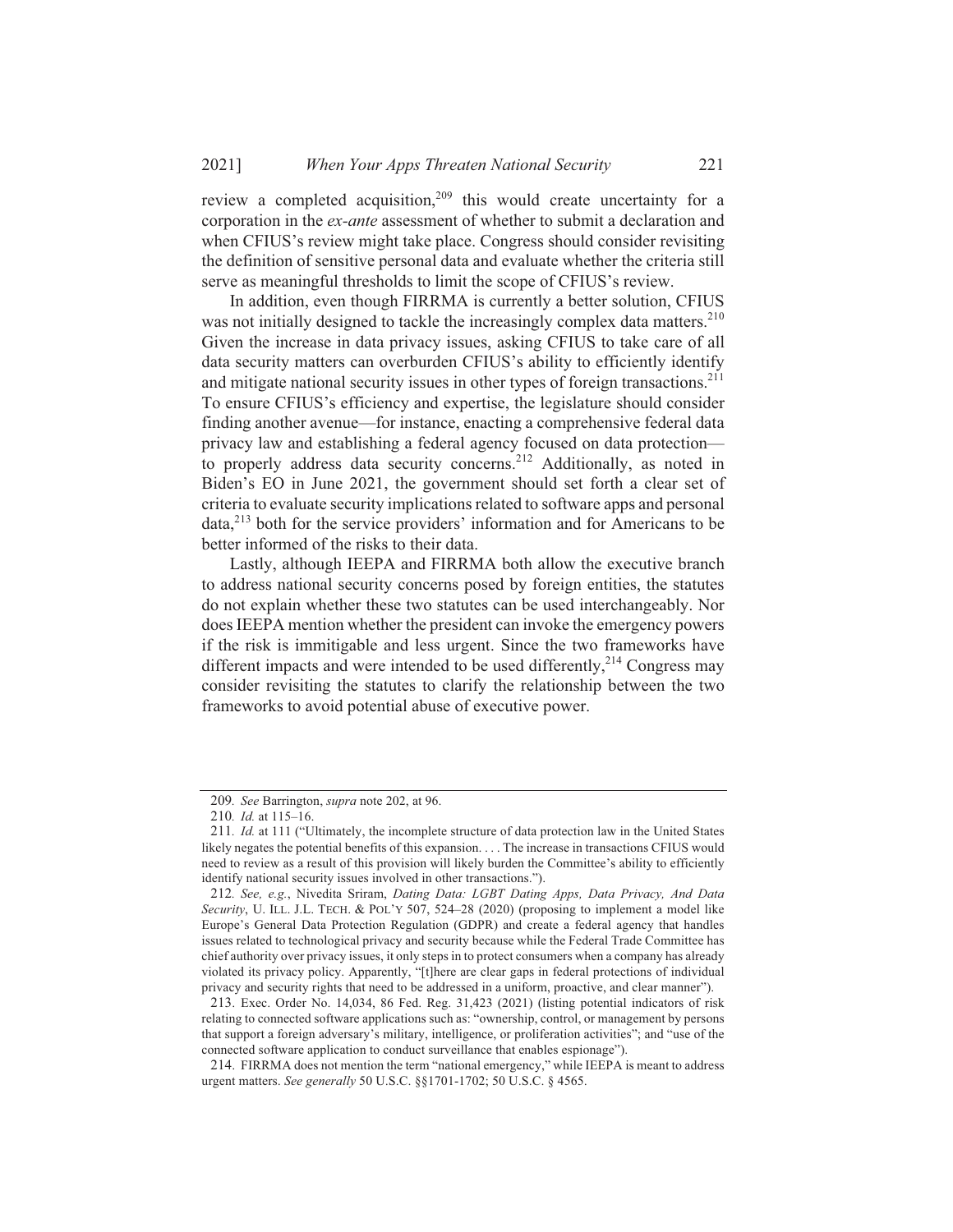review a completed acquisition,<sup>209</sup> this would create uncertainty for a corporation in the ex-ante assessment of whether to submit a declaration and when CFIUS's review might take place. Congress should consider revisiting the definition of sensitive personal data and evaluate whether the criteria still serve as meaningful thresholds to limit the scope of CFIUS's review.

In addition, even though FIRRMA is currently a better solution, CFIUS was not initially designed to tackle the increasingly complex data matters.<sup>210</sup> Given the increase in data privacy issues, asking CFIUS to take care of all data security matters can overburden CFIUS's ability to efficiently identify and mitigate national security issues in other types of foreign transactions.<sup>211</sup> To ensure CFIUS's efficiency and expertise, the legislature should consider finding another avenue—for instance, enacting a comprehensive federal data privacy law and establishing a federal agency focused on data protection to properly address data security concerns.<sup>212</sup> Additionally, as noted in Biden's EO in June 2021, the government should set forth a clear set of criteria to evaluate security implications related to software apps and personal data,<sup>213</sup> both for the service providers' information and for Americans to be better informed of the risks to their data.

Lastly, although IEEPA and FIRRMA both allow the executive branch to address national security concerns posed by foreign entities, the statutes do not explain whether these two statutes can be used interchangeably. Nor does IEEPA mention whether the president can invoke the emergency powers if the risk is immitigable and less urgent. Since the two frameworks have different impacts and were intended to be used differently,<sup>214</sup> Congress may consider revisiting the statutes to clarify the relationship between the two frameworks to avoid potential abuse of executive power.

<sup>209.</sup> See Barrington, *supra* note 202, at 96.

<sup>210.</sup> Id. at 115-16.

<sup>211.</sup> Id. at 111 ("Ultimately, the incomplete structure of data protection law in the United States likely negates the potential benefits of this expansion. . . . The increase in transactions CFIUS would need to review as a result of this provision will likely burden the Committee's ability to efficiently identify national security issues involved in other transactions.").

<sup>212.</sup> See, e.g., Nivedita Sriram, Dating Data: LGBT Dating Apps, Data Privacy, And Data Security, U. ILL. J.L. TECH. & POL'Y 507, 524-28 (2020) (proposing to implement a model like Europe's General Data Protection Regulation (GDPR) and create a federal agency that handles issues related to technological privacy and security because while the Federal Trade Committee has chief authority over privacy issues, it only steps in to protect consumers when a company has already violated its privacy policy. Apparently, "[t]here are clear gaps in federal protections of individual privacy and security rights that need to be addressed in a uniform, proactive, and clear manner").

<sup>213.</sup> Exec. Order No. 14,034, 86 Fed. Reg. 31,423 (2021) (listing potential indicators of risk relating to connected software applications such as: "ownership, control, or management by persons that support a foreign adversary's military, intelligence, or proliferation activities"; and "use of the connected software application to conduct surveillance that enables espionage").

<sup>214.</sup> FIRRMA does not mention the term "national emergency," while IEEPA is meant to address urgent matters. See generally 50 U.S.C. §§1701-1702; 50 U.S.C. § 4565.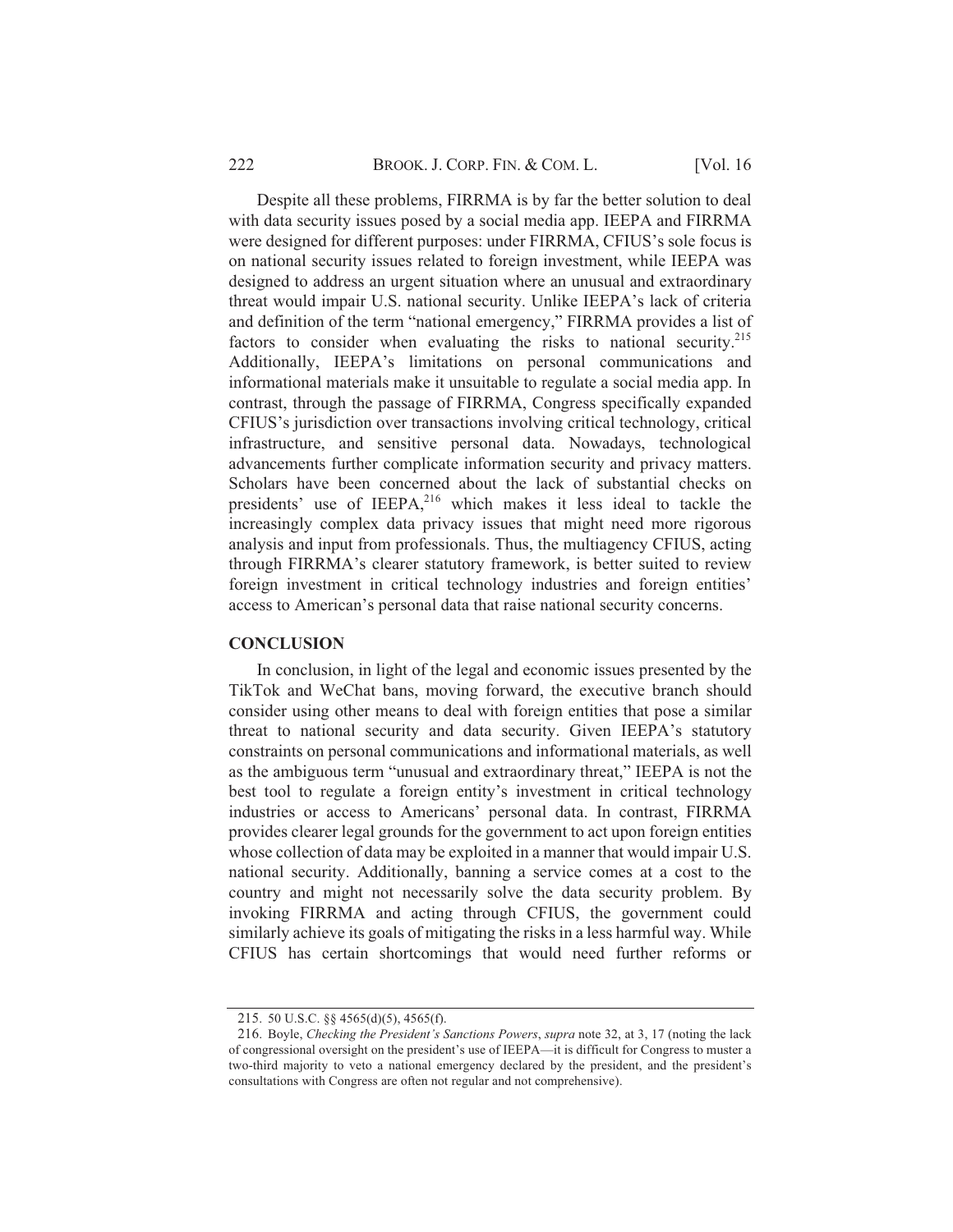Despite all these problems, FIRRMA is by far the better solution to deal with data security issues posed by a social media app. IEEPA and FIRRMA were designed for different purposes: under FIRRMA, CFIUS's sole focus is on national security issues related to foreign investment, while IEEPA was designed to address an urgent situation where an unusual and extraordinary threat would impair U.S. national security. Unlike IEEPA's lack of criteria and definition of the term "national emergency," FIRRMA provides a list of factors to consider when evaluating the risks to national security.<sup>215</sup> Additionally, IEEPA's limitations on personal communications and informational materials make it unsuitable to regulate a social media app. In contrast, through the passage of FIRRMA, Congress specifically expanded CFIUS's jurisdiction over transactions involving critical technology, critical infrastructure, and sensitive personal data. Nowadays, technological advancements further complicate information security and privacy matters. Scholars have been concerned about the lack of substantial checks on presidents' use of IEEPA,<sup>216</sup> which makes it less ideal to tackle the increasingly complex data privacy issues that might need more rigorous analysis and input from professionals. Thus, the multiagency CFIUS, acting through FIRRMA's clearer statutory framework, is better suited to review foreign investment in critical technology industries and foreign entities' access to American's personal data that raise national security concerns.

### **CONCLUSION**

In conclusion, in light of the legal and economic issues presented by the TikTok and WeChat bans, moving forward, the executive branch should consider using other means to deal with foreign entities that pose a similar threat to national security and data security. Given IEEPA's statutory constraints on personal communications and informational materials, as well as the ambiguous term "unusual and extraordinary threat," IEEPA is not the best tool to regulate a foreign entity's investment in critical technology industries or access to Americans' personal data. In contrast, FIRRMA provides clearer legal grounds for the government to act upon foreign entities whose collection of data may be exploited in a manner that would impair U.S. national security. Additionally, banning a service comes at a cost to the country and might not necessarily solve the data security problem. By invoking FIRRMA and acting through CFIUS, the government could similarly achieve its goals of mitigating the risks in a less harmful way. While CFIUS has certain shortcomings that would need further reforms or

<sup>215. 50</sup> U.S.C. §§ 4565(d)(5), 4565(f).

<sup>216.</sup> Boyle, Checking the President's Sanctions Powers, supra note 32, at 3, 17 (noting the lack of congressional oversight on the president's use of IEEPA—it is difficult for Congress to muster a two-third majority to veto a national emergency declared by the president, and the president's consultations with Congress are often not regular and not comprehensive).